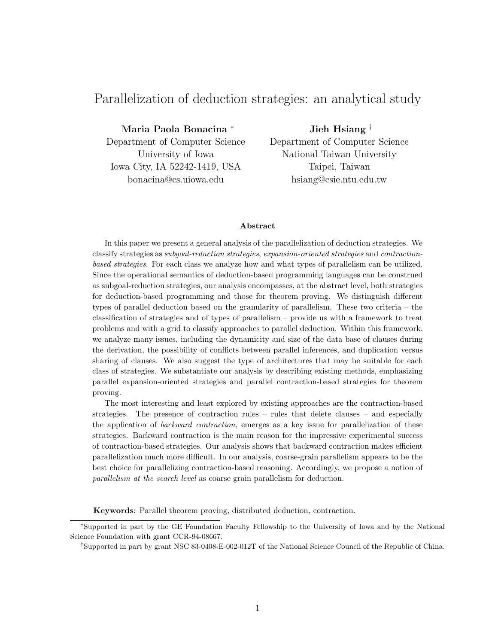# Parallelization of deduction strategies: an analytical study

Maria Paola Bonacina <sup>∗</sup> Department of Computer Science University of Iowa Iowa City, IA 52242-1419, USA bonacina@cs.uiowa.edu

Jieh Hsiang †

Department of Computer Science National Taiwan University Taipei, Taiwan hsiang@csie.ntu.edu.tw

#### Abstract

In this paper we present a general analysis of the parallelization of deduction strategies. We classify strategies as subgoal-reduction strategies, expansion-oriented strategies and contractionbased strategies. For each class we analyze how and what types of parallelism can be utilized. Since the operational semantics of deduction-based programming languages can be construed as subgoal-reduction strategies, our analysis encompasses, at the abstract level, both strategies for deduction-based programming and those for theorem proving. We distinguish different types of parallel deduction based on the granularity of parallelism. These two criteria – the classification of strategies and of types of parallelism – provide us with a framework to treat problems and with a grid to classify approaches to parallel deduction. Within this framework, we analyze many issues, including the dynamicity and size of the data base of clauses during the derivation, the possibility of conflicts between parallel inferences, and duplication versus sharing of clauses. We also suggest the type of architectures that may be suitable for each class of strategies. We substantiate our analysis by describing existing methods, emphasizing parallel expansion-oriented strategies and parallel contraction-based strategies for theorem proving.

The most interesting and least explored by existing approaches are the contraction-based strategies. The presence of contraction rules – rules that delete clauses – and especially the application of backward contraction, emerges as a key issue for parallelization of these strategies. Backward contraction is the main reason for the impressive experimental success of contraction-based strategies. Our analysis shows that backward contraction makes efficient parallelization much more difficult. In our analysis, coarse-grain parallelism appears to be the best choice for parallelizing contraction-based reasoning. Accordingly, we propose a notion of parallelism at the search level as coarse grain parallelism for deduction.

Keywords: Parallel theorem proving, distributed deduction, contraction.

<sup>∗</sup> Supported in part by the GE Foundation Faculty Fellowship to the University of Iowa and by the National Science Foundation with grant CCR-94-08667.

<sup>†</sup> Supported in part by grant NSC 83-0408-E-002-012T of the National Science Council of the Republic of China.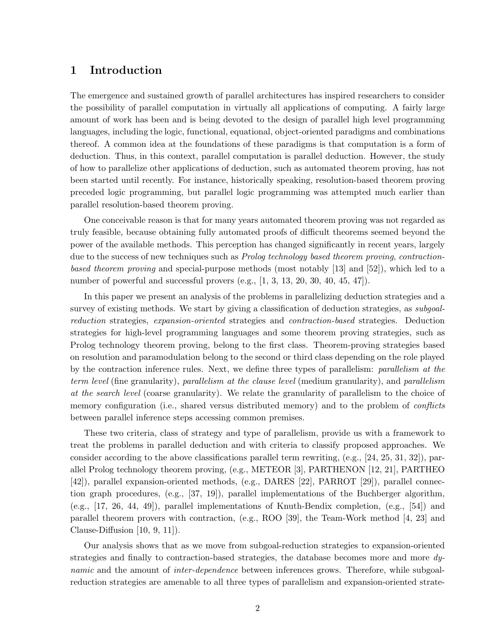## 1 Introduction

The emergence and sustained growth of parallel architectures has inspired researchers to consider the possibility of parallel computation in virtually all applications of computing. A fairly large amount of work has been and is being devoted to the design of parallel high level programming languages, including the logic, functional, equational, object-oriented paradigms and combinations thereof. A common idea at the foundations of these paradigms is that computation is a form of deduction. Thus, in this context, parallel computation is parallel deduction. However, the study of how to parallelize other applications of deduction, such as automated theorem proving, has not been started until recently. For instance, historically speaking, resolution-based theorem proving preceded logic programming, but parallel logic programming was attempted much earlier than parallel resolution-based theorem proving.

One conceivable reason is that for many years automated theorem proving was not regarded as truly feasible, because obtaining fully automated proofs of difficult theorems seemed beyond the power of the available methods. This perception has changed significantly in recent years, largely due to the success of new techniques such as Prolog technology based theorem proving, contractionbased theorem proving and special-purpose methods (most notably [13] and [52]), which led to a number of powerful and successful provers (e.g., [1, 3, 13, 20, 30, 40, 45, 47]).

In this paper we present an analysis of the problems in parallelizing deduction strategies and a survey of existing methods. We start by giving a classification of deduction strategies, as *subgoal*reduction strategies, expansion-oriented strategies and contraction-based strategies. Deduction strategies for high-level programming languages and some theorem proving strategies, such as Prolog technology theorem proving, belong to the first class. Theorem-proving strategies based on resolution and paramodulation belong to the second or third class depending on the role played by the contraction inference rules. Next, we define three types of parallelism: parallelism at the term level (fine granularity), parallelism at the clause level (medium granularity), and parallelism at the search level (coarse granularity). We relate the granularity of parallelism to the choice of memory configuration (i.e., shared versus distributed memory) and to the problem of *conflicts* between parallel inference steps accessing common premises.

These two criteria, class of strategy and type of parallelism, provide us with a framework to treat the problems in parallel deduction and with criteria to classify proposed approaches. We consider according to the above classifications parallel term rewriting, (e.g.,  $[24, 25, 31, 32]$ ), parallel Prolog technology theorem proving, (e.g., METEOR [3], PARTHENON [12, 21], PARTHEO [42]), parallel expansion-oriented methods, (e.g., DARES [22], PARROT [29]), parallel connection graph procedures, (e.g., [37, 19]), parallel implementations of the Buchberger algorithm, (e.g., [17, 26, 44, 49]), parallel implementations of Knuth-Bendix completion, (e.g., [54]) and parallel theorem provers with contraction, (e.g., ROO [39], the Team-Work method [4, 23] and Clause-Diffusion [10, 9, 11]).

Our analysis shows that as we move from subgoal-reduction strategies to expansion-oriented strategies and finally to contraction-based strategies, the database becomes more and more dynamic and the amount of *inter-dependence* between inferences grows. Therefore, while subgoalreduction strategies are amenable to all three types of parallelism and expansion-oriented strate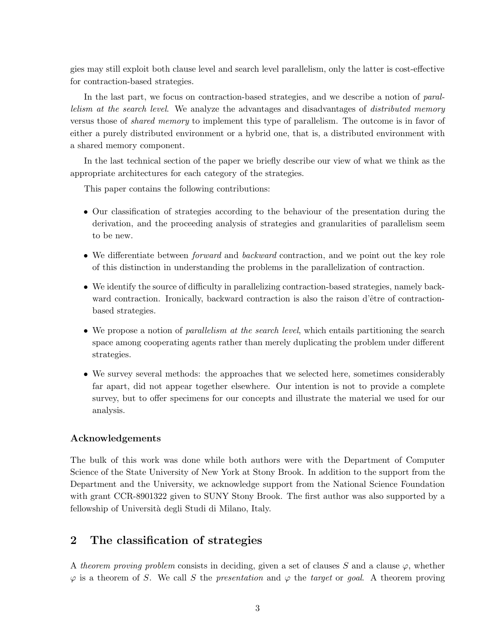gies may still exploit both clause level and search level parallelism, only the latter is cost-effective for contraction-based strategies.

In the last part, we focus on contraction-based strategies, and we describe a notion of *paral*lelism at the search level. We analyze the advantages and disadvantages of distributed memory versus those of shared memory to implement this type of parallelism. The outcome is in favor of either a purely distributed environment or a hybrid one, that is, a distributed environment with a shared memory component.

In the last technical section of the paper we briefly describe our view of what we think as the appropriate architectures for each category of the strategies.

This paper contains the following contributions:

- Our classification of strategies according to the behaviour of the presentation during the derivation, and the proceeding analysis of strategies and granularities of parallelism seem to be new.
- We differentiate between *forward* and *backward* contraction, and we point out the key role of this distinction in understanding the problems in the parallelization of contraction.
- We identify the source of difficulty in parallelizing contraction-based strategies, namely backward contraction. Ironically, backward contraction is also the raison d'être of contractionbased strategies.
- We propose a notion of *parallelism at the search level*, which entails partitioning the search space among cooperating agents rather than merely duplicating the problem under different strategies.
- We survey several methods: the approaches that we selected here, sometimes considerably far apart, did not appear together elsewhere. Our intention is not to provide a complete survey, but to offer specimens for our concepts and illustrate the material we used for our analysis.

## Acknowledgements

The bulk of this work was done while both authors were with the Department of Computer Science of the State University of New York at Stony Brook. In addition to the support from the Department and the University, we acknowledge support from the National Science Foundation with grant CCR-8901322 given to SUNY Stony Brook. The first author was also supported by a fellowship of Universit`a degli Studi di Milano, Italy.

## 2 The classification of strategies

A theorem proving problem consists in deciding, given a set of clauses S and a clause  $\varphi$ , whether  $\varphi$  is a theorem of S. We call S the presentation and  $\varphi$  the target or goal. A theorem proving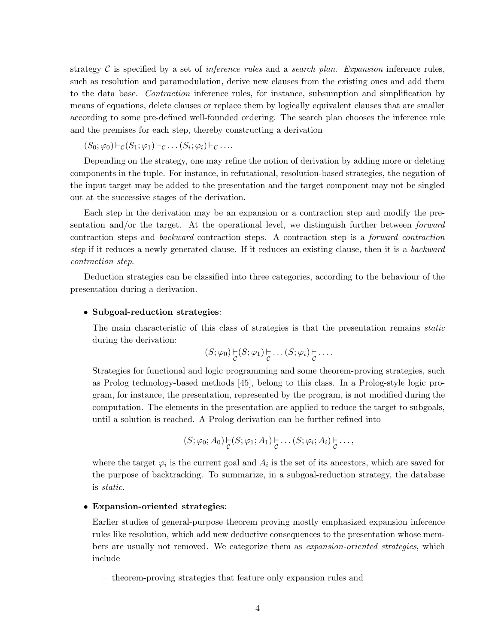strategy  $\mathcal C$  is specified by a set of *inference rules* and a *search plan. Expansion* inference rules, such as resolution and paramodulation, derive new clauses from the existing ones and add them to the data base. Contraction inference rules, for instance, subsumption and simplification by means of equations, delete clauses or replace them by logically equivalent clauses that are smaller according to some pre-defined well-founded ordering. The search plan chooses the inference rule and the premises for each step, thereby constructing a derivation

 $(S_0; \varphi_0) \vdash_{\mathcal{C}} (S_1; \varphi_1) \vdash_{\mathcal{C}} \ldots (S_i; \varphi_i) \vdash_{\mathcal{C}} \ldots$ 

Depending on the strategy, one may refine the notion of derivation by adding more or deleting components in the tuple. For instance, in refutational, resolution-based strategies, the negation of the input target may be added to the presentation and the target component may not be singled out at the successive stages of the derivation.

Each step in the derivation may be an expansion or a contraction step and modify the presentation and/or the target. At the operational level, we distinguish further between *forward* contraction steps and backward contraction steps. A contraction step is a forward contraction step if it reduces a newly generated clause. If it reduces an existing clause, then it is a backward contraction step.

Deduction strategies can be classified into three categories, according to the behaviour of the presentation during a derivation.

#### • Subgoal-reduction strategies:

The main characteristic of this class of strategies is that the presentation remains static during the derivation:

$$
(S; \varphi_0) \underset{\mathcal{C}}{\vdash} (S; \varphi_1) \underset{\mathcal{C}}{\vdash} \dots (S; \varphi_i) \underset{\mathcal{C}}{\vdash} \dots
$$

Strategies for functional and logic programming and some theorem-proving strategies, such as Prolog technology-based methods [45], belong to this class. In a Prolog-style logic program, for instance, the presentation, represented by the program, is not modified during the computation. The elements in the presentation are applied to reduce the target to subgoals, until a solution is reached. A Prolog derivation can be further refined into

$$
(S; \varphi_0; A_0) \underset{\mathcal{C}}{\vdash} (S; \varphi_1; A_1) \underset{\mathcal{C}}{\vdash} \ldots (S; \varphi_i; A_i) \underset{\mathcal{C}}{\vdash} \ldots,
$$

where the target  $\varphi_i$  is the current goal and  $A_i$  is the set of its ancestors, which are saved for the purpose of backtracking. To summarize, in a subgoal-reduction strategy, the database is static.

#### • Expansion-oriented strategies:

Earlier studies of general-purpose theorem proving mostly emphasized expansion inference rules like resolution, which add new deductive consequences to the presentation whose members are usually not removed. We categorize them as expansion-oriented strategies, which include

– theorem-proving strategies that feature only expansion rules and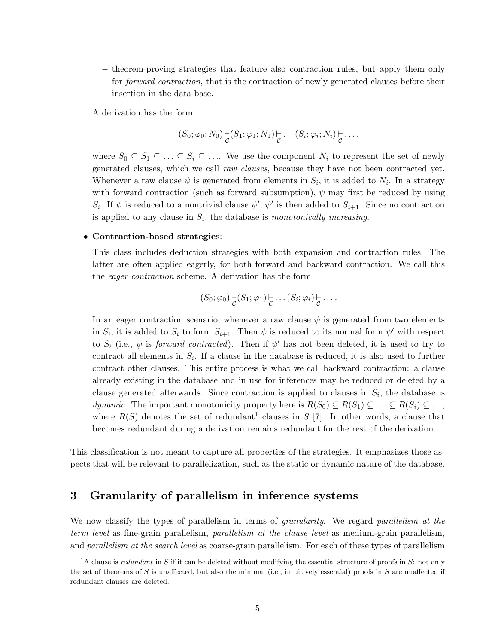- theorem-proving strategies that feature also contraction rules, but apply them only for *forward contraction*, that is the contraction of newly generated clauses before their insertion in the data base.
- A derivation has the form

$$
(S_0; \varphi_0; N_0) \underset{C}{\vdash} (S_1; \varphi_1; N_1) \underset{C}{\vdash} \ldots (S_i; \varphi_i; N_i) \underset{C}{\vdash} \ldots,
$$

where  $S_0 \subseteq S_1 \subseteq \ldots \subseteq S_i \subseteq \ldots$  We use the component  $N_i$  to represent the set of newly generated clauses, which we call raw clauses, because they have not been contracted yet. Whenever a raw clause  $\psi$  is generated from elements in  $S_i$ , it is added to  $N_i$ . In a strategy with forward contraction (such as forward subsumption),  $\psi$  may first be reduced by using  $S_i$ . If  $\psi$  is reduced to a nontrivial clause  $\psi', \psi'$  is then added to  $S_{i+1}$ . Since no contraction is applied to any clause in  $S_i$ , the database is *monotonically increasing*.

#### • Contraction-based strategies:

This class includes deduction strategies with both expansion and contraction rules. The latter are often applied eagerly, for both forward and backward contraction. We call this the eager contraction scheme. A derivation has the form

$$
(S_0;\varphi_0)\underset{\mathcal{C}}{\vdash}(S_1;\varphi_1)\underset{\mathcal{C}}{\vdash}\dots(S_i;\varphi_i)\underset{\mathcal{C}}{\vdash}\dots
$$

In an eager contraction scenario, whenever a raw clause  $\psi$  is generated from two elements in  $S_i$ , it is added to  $S_i$  to form  $S_{i+1}$ . Then  $\psi$  is reduced to its normal form  $\psi'$  with respect to  $S_i$  (i.e.,  $\psi$  is forward contracted). Then if  $\psi'$  has not been deleted, it is used to try to contract all elements in  $S_i$ . If a clause in the database is reduced, it is also used to further contract other clauses. This entire process is what we call backward contraction: a clause already existing in the database and in use for inferences may be reduced or deleted by a clause generated afterwards. Since contraction is applied to clauses in  $S_i$ , the database is dynamic. The important monotonicity property here is  $R(S_0) \subseteq R(S_1) \subseteq \ldots \subseteq R(S_i) \subseteq \ldots$ where  $R(S)$  denotes the set of redundant<sup>1</sup> clauses in S [7]. In other words, a clause that becomes redundant during a derivation remains redundant for the rest of the derivation.

This classification is not meant to capture all properties of the strategies. It emphasizes those aspects that will be relevant to parallelization, such as the static or dynamic nature of the database.

## 3 Granularity of parallelism in inference systems

We now classify the types of parallelism in terms of *granularity*. We regard *parallelism at the* term level as fine-grain parallelism, parallelism at the clause level as medium-grain parallelism, and parallelism at the search level as coarse-grain parallelism. For each of these types of parallelism

<sup>&</sup>lt;sup>1</sup>A clause is *redundant* in S if it can be deleted without modifying the essential structure of proofs in S: not only the set of theorems of  $S$  is unaffected, but also the minimal (i.e., intuitively essential) proofs in  $S$  are unaffected if redundant clauses are deleted.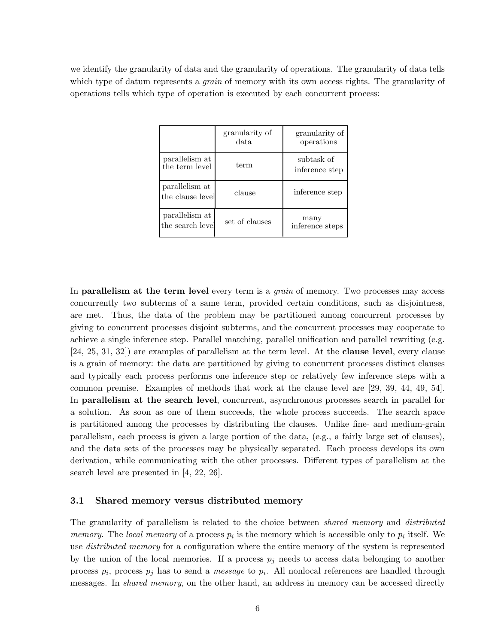we identify the granularity of data and the granularity of operations. The granularity of data tells which type of datum represents a *grain* of memory with its own access rights. The granularity of operations tells which type of operation is executed by each concurrent process:

|                                    | granularity of<br>data. | granularity of<br>operations |
|------------------------------------|-------------------------|------------------------------|
| parallelism at<br>the term level   | term                    | subtask of<br>inference step |
| parallelism at<br>the clause level | clause                  | inference step               |
| parallelism at<br>the search level | set of clauses          | many<br>inference steps      |

In **parallelism at the term level** every term is a *grain* of memory. Two processes may access concurrently two subterms of a same term, provided certain conditions, such as disjointness, are met. Thus, the data of the problem may be partitioned among concurrent processes by giving to concurrent processes disjoint subterms, and the concurrent processes may cooperate to achieve a single inference step. Parallel matching, parallel unification and parallel rewriting (e.g. [24, 25, 31, 32]) are examples of parallelism at the term level. At the clause level, every clause is a grain of memory: the data are partitioned by giving to concurrent processes distinct clauses and typically each process performs one inference step or relatively few inference steps with a common premise. Examples of methods that work at the clause level are [29, 39, 44, 49, 54]. In parallelism at the search level, concurrent, asynchronous processes search in parallel for a solution. As soon as one of them succeeds, the whole process succeeds. The search space is partitioned among the processes by distributing the clauses. Unlike fine- and medium-grain parallelism, each process is given a large portion of the data, (e.g., a fairly large set of clauses), and the data sets of the processes may be physically separated. Each process develops its own derivation, while communicating with the other processes. Different types of parallelism at the search level are presented in [4, 22, 26].

### 3.1 Shared memory versus distributed memory

The granularity of parallelism is related to the choice between *shared memory* and *distributed memory.* The *local memory* of a process  $p_i$  is the memory which is accessible only to  $p_i$  itself. We use *distributed memory* for a configuration where the entire memory of the system is represented by the union of the local memories. If a process  $p_j$  needs to access data belonging to another process  $p_i$ , process  $p_j$  has to send a *message* to  $p_i$ . All nonlocal references are handled through messages. In shared memory, on the other hand, an address in memory can be accessed directly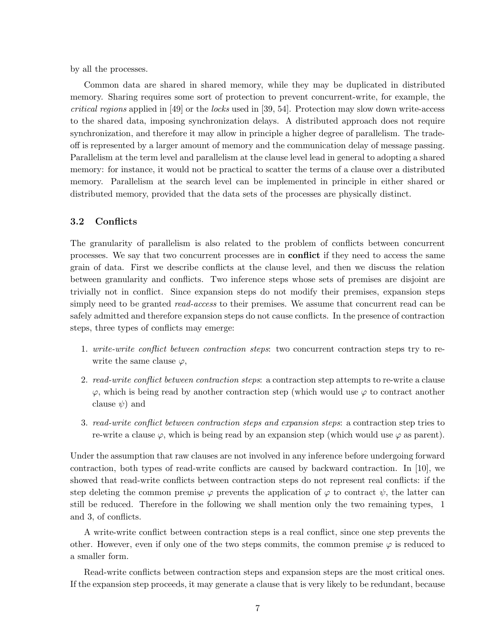by all the processes.

Common data are shared in shared memory, while they may be duplicated in distributed memory. Sharing requires some sort of protection to prevent concurrent-write, for example, the *critical regions* applied in [49] or the *locks* used in [39, 54]. Protection may slow down write-access to the shared data, imposing synchronization delays. A distributed approach does not require synchronization, and therefore it may allow in principle a higher degree of parallelism. The tradeoff is represented by a larger amount of memory and the communication delay of message passing. Parallelism at the term level and parallelism at the clause level lead in general to adopting a shared memory: for instance, it would not be practical to scatter the terms of a clause over a distributed memory. Parallelism at the search level can be implemented in principle in either shared or distributed memory, provided that the data sets of the processes are physically distinct.

## 3.2 Conflicts

The granularity of parallelism is also related to the problem of conflicts between concurrent processes. We say that two concurrent processes are in conflict if they need to access the same grain of data. First we describe conflicts at the clause level, and then we discuss the relation between granularity and conflicts. Two inference steps whose sets of premises are disjoint are trivially not in conflict. Since expansion steps do not modify their premises, expansion steps simply need to be granted *read-access* to their premises. We assume that concurrent read can be safely admitted and therefore expansion steps do not cause conflicts. In the presence of contraction steps, three types of conflicts may emerge:

- 1. write-write conflict between contraction steps: two concurrent contraction steps try to rewrite the same clause  $\varphi$ ,
- 2. read-write conflict between contraction steps: a contraction step attempts to re-write a clause  $\varphi$ , which is being read by another contraction step (which would use  $\varphi$  to contract another clause  $\psi$ ) and
- 3. read-write conflict between contraction steps and expansion steps: a contraction step tries to re-write a clause  $\varphi$ , which is being read by an expansion step (which would use  $\varphi$  as parent).

Under the assumption that raw clauses are not involved in any inference before undergoing forward contraction, both types of read-write conflicts are caused by backward contraction. In [10], we showed that read-write conflicts between contraction steps do not represent real conflicts: if the step deleting the common premise  $\varphi$  prevents the application of  $\varphi$  to contract  $\psi$ , the latter can still be reduced. Therefore in the following we shall mention only the two remaining types, 1 and 3, of conflicts.

A write-write conflict between contraction steps is a real conflict, since one step prevents the other. However, even if only one of the two steps commits, the common premise  $\varphi$  is reduced to a smaller form.

Read-write conflicts between contraction steps and expansion steps are the most critical ones. If the expansion step proceeds, it may generate a clause that is very likely to be redundant, because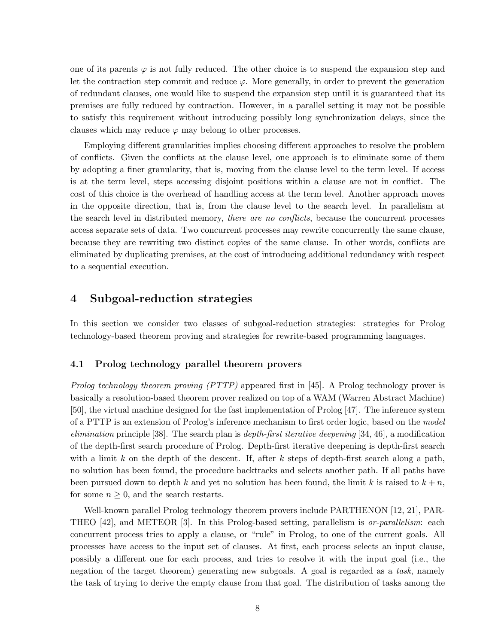one of its parents  $\varphi$  is not fully reduced. The other choice is to suspend the expansion step and let the contraction step commit and reduce  $\varphi$ . More generally, in order to prevent the generation of redundant clauses, one would like to suspend the expansion step until it is guaranteed that its premises are fully reduced by contraction. However, in a parallel setting it may not be possible to satisfy this requirement without introducing possibly long synchronization delays, since the clauses which may reduce  $\varphi$  may belong to other processes.

Employing different granularities implies choosing different approaches to resolve the problem of conflicts. Given the conflicts at the clause level, one approach is to eliminate some of them by adopting a finer granularity, that is, moving from the clause level to the term level. If access is at the term level, steps accessing disjoint positions within a clause are not in conflict. The cost of this choice is the overhead of handling access at the term level. Another approach moves in the opposite direction, that is, from the clause level to the search level. In parallelism at the search level in distributed memory, there are no conflicts, because the concurrent processes access separate sets of data. Two concurrent processes may rewrite concurrently the same clause, because they are rewriting two distinct copies of the same clause. In other words, conflicts are eliminated by duplicating premises, at the cost of introducing additional redundancy with respect to a sequential execution.

## 4 Subgoal-reduction strategies

In this section we consider two classes of subgoal-reduction strategies: strategies for Prolog technology-based theorem proving and strategies for rewrite-based programming languages.

## 4.1 Prolog technology parallel theorem provers

Prolog technology theorem proving (PTTP) appeared first in [45]. A Prolog technology prover is basically a resolution-based theorem prover realized on top of a WAM (Warren Abstract Machine) [50], the virtual machine designed for the fast implementation of Prolog [47]. The inference system of a PTTP is an extension of Prolog's inference mechanism to first order logic, based on the model elimination principle [38]. The search plan is depth-first iterative deepening [34, 46], a modification of the depth-first search procedure of Prolog. Depth-first iterative deepening is depth-first search with a limit k on the depth of the descent. If, after k steps of depth-first search along a path, no solution has been found, the procedure backtracks and selects another path. If all paths have been pursued down to depth k and yet no solution has been found, the limit k is raised to  $k + n$ , for some  $n \geq 0$ , and the search restarts.

Well-known parallel Prolog technology theorem provers include PARTHENON [12, 21], PAR-THEO [42], and METEOR [3]. In this Prolog-based setting, parallelism is or-parallelism: each concurrent process tries to apply a clause, or "rule" in Prolog, to one of the current goals. All processes have access to the input set of clauses. At first, each process selects an input clause, possibly a different one for each process, and tries to resolve it with the input goal (i.e., the negation of the target theorem) generating new subgoals. A goal is regarded as a task, namely the task of trying to derive the empty clause from that goal. The distribution of tasks among the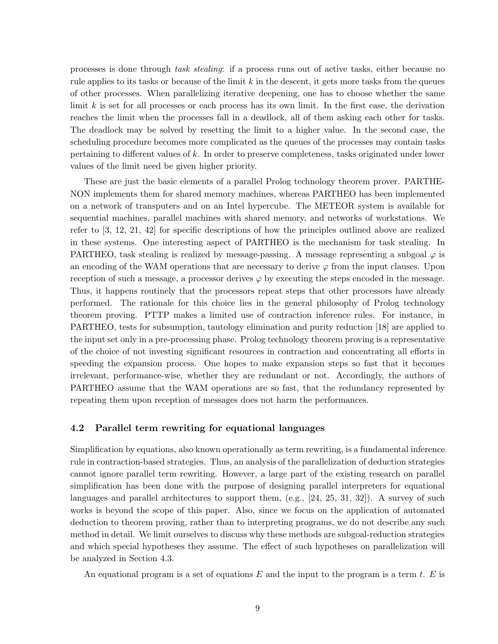processes is done through task stealing: if a process runs out of active tasks, either because no rule applies to its tasks or because of the limit  $k$  in the descent, it gets more tasks from the queues of other processes. When parallelizing iterative deepening, one has to choose whether the same limit  $k$  is set for all processes or each process has its own limit. In the first case, the derivation reaches the limit when the processes fall in a deadlock, all of them asking each other for tasks. The deadlock may be solved by resetting the limit to a higher value. In the second case, the scheduling procedure becomes more complicated as the queues of the processes may contain tasks pertaining to different values of k. In order to preserve completeness, tasks originated under lower values of the limit need be given higher priority.

These are just the basic elements of a parallel Prolog technology theorem prover. PARTHE-NON implements them for shared memory machines, whereas PARTHEO has been implemented on a network of transputers and on an Intel hypercube. The METEOR system is available for sequential machines, parallel machines with shared memory, and networks of workstations. We refer to [3, 12, 21, 42] for specific descriptions of how the principles outlined above are realized in these systems. One interesting aspect of PARTHEO is the mechanism for task stealing. In PARTHEO, task stealing is realized by message-passing. A message representing a subgoal  $\varphi$  is an encoding of the WAM operations that are necessary to derive  $\varphi$  from the input clauses. Upon reception of such a message, a processor derives  $\varphi$  by executing the steps encoded in the message. Thus, it happens routinely that the processors repeat steps that other processors have already performed. The rationale for this choice lies in the general philosophy of Prolog technology theorem proving. PTTP makes a limited use of contraction inference rules. For instance, in PARTHEO, tests for subsumption, tautology elimination and purity reduction [18] are applied to the input set only in a pre-processing phase. Prolog technology theorem proving is a representative of the choice of not investing significant resources in contraction and concentrating all efforts in speeding the expansion process. One hopes to make expansion steps so fast that it becomes irrelevant, performance-wise, whether they are redundant or not. Accordingly, the authors of PARTHEO assume that the WAM operations are so fast, that the redundancy represented by repeating them upon reception of messages does not harm the performances.

### 4.2 Parallel term rewriting for equational languages

Simplification by equations, also known operationally as term rewriting, is a fundamental inference rule in contraction-based strategies. Thus, an analysis of the parallelization of deduction strategies cannot ignore parallel term rewriting. However, a large part of the existing research on parallel simplification has been done with the purpose of designing parallel interpreters for equational languages and parallel architectures to support them,  $(e.g., [24, 25, 31, 32])$ . A survey of such works is beyond the scope of this paper. Also, since we focus on the application of automated deduction to theorem proving, rather than to interpreting programs, we do not describe any such method in detail. We limit ourselves to discuss why these methods are subgoal-reduction strategies and which special hypotheses they assume. The effect of such hypotheses on parallelization will be analyzed in Section 4.3.

An equational program is a set of equations  $E$  and the input to the program is a term t.  $E$  is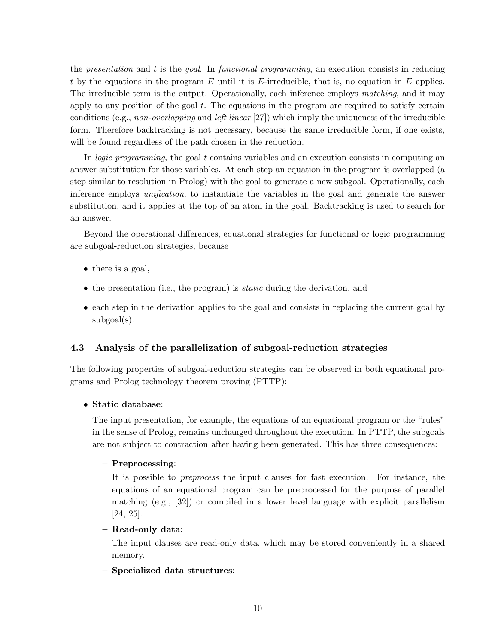the presentation and  $t$  is the goal. In functional programming, an execution consists in reducing t by the equations in the program E until it is E-irreducible, that is, no equation in E applies. The irreducible term is the output. Operationally, each inference employs matching, and it may apply to any position of the goal  $t$ . The equations in the program are required to satisfy certain conditions (e.g., *non-overlapping* and *left linear* [27]) which imply the uniqueness of the irreducible form. Therefore backtracking is not necessary, because the same irreducible form, if one exists, will be found regardless of the path chosen in the reduction.

In logic programming, the goal  $t$  contains variables and an execution consists in computing an answer substitution for those variables. At each step an equation in the program is overlapped (a step similar to resolution in Prolog) with the goal to generate a new subgoal. Operationally, each inference employs unification, to instantiate the variables in the goal and generate the answer substitution, and it applies at the top of an atom in the goal. Backtracking is used to search for an answer.

Beyond the operational differences, equational strategies for functional or logic programming are subgoal-reduction strategies, because

- there is a goal,
- the presentation (i.e., the program) is *static* during the derivation, and
- each step in the derivation applies to the goal and consists in replacing the current goal by  $subgoal(s)$ .

## 4.3 Analysis of the parallelization of subgoal-reduction strategies

The following properties of subgoal-reduction strategies can be observed in both equational programs and Prolog technology theorem proving (PTTP):

## • Static database:

The input presentation, for example, the equations of an equational program or the "rules" in the sense of Prolog, remains unchanged throughout the execution. In PTTP, the subgoals are not subject to contraction after having been generated. This has three consequences:

## – Preprocessing:

It is possible to preprocess the input clauses for fast execution. For instance, the equations of an equational program can be preprocessed for the purpose of parallel matching (e.g., [32]) or compiled in a lower level language with explicit parallelism [24, 25].

### – Read-only data:

The input clauses are read-only data, which may be stored conveniently in a shared memory.

## – Specialized data structures: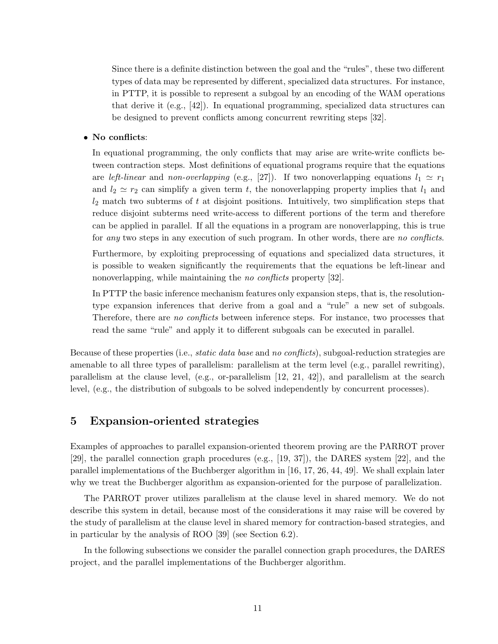Since there is a definite distinction between the goal and the "rules", these two different types of data may be represented by different, specialized data structures. For instance, in PTTP, it is possible to represent a subgoal by an encoding of the WAM operations that derive it (e.g., [42]). In equational programming, specialized data structures can be designed to prevent conflicts among concurrent rewriting steps [32].

#### • No conflicts:

In equational programming, the only conflicts that may arise are write-write conflicts between contraction steps. Most definitions of equational programs require that the equations are left-linear and non-overlapping (e.g., [27]). If two nonoverlapping equations  $l_1 \simeq r_1$ and  $l_2 \simeq r_2$  can simplify a given term t, the nonoverlapping property implies that  $l_1$  and  $l_2$  match two subterms of t at disjoint positions. Intuitively, two simplification steps that reduce disjoint subterms need write-access to different portions of the term and therefore can be applied in parallel. If all the equations in a program are nonoverlapping, this is true for any two steps in any execution of such program. In other words, there are no conflicts.

Furthermore, by exploiting preprocessing of equations and specialized data structures, it is possible to weaken significantly the requirements that the equations be left-linear and nonoverlapping, while maintaining the *no conflicts* property [32].

In PTTP the basic inference mechanism features only expansion steps, that is, the resolutiontype expansion inferences that derive from a goal and a "rule" a new set of subgoals. Therefore, there are no conflicts between inference steps. For instance, two processes that read the same "rule" and apply it to different subgoals can be executed in parallel.

Because of these properties (i.e., static data base and no conflicts), subgoal-reduction strategies are amenable to all three types of parallelism: parallelism at the term level (e.g., parallel rewriting), parallelism at the clause level, (e.g., or-parallelism [12, 21, 42]), and parallelism at the search level, (e.g., the distribution of subgoals to be solved independently by concurrent processes).

## 5 Expansion-oriented strategies

Examples of approaches to parallel expansion-oriented theorem proving are the PARROT prover [29], the parallel connection graph procedures (e.g., [19, 37]), the DARES system [22], and the parallel implementations of the Buchberger algorithm in [16, 17, 26, 44, 49]. We shall explain later why we treat the Buchberger algorithm as expansion-oriented for the purpose of parallelization.

The PARROT prover utilizes parallelism at the clause level in shared memory. We do not describe this system in detail, because most of the considerations it may raise will be covered by the study of parallelism at the clause level in shared memory for contraction-based strategies, and in particular by the analysis of ROO [39] (see Section 6.2).

In the following subsections we consider the parallel connection graph procedures, the DARES project, and the parallel implementations of the Buchberger algorithm.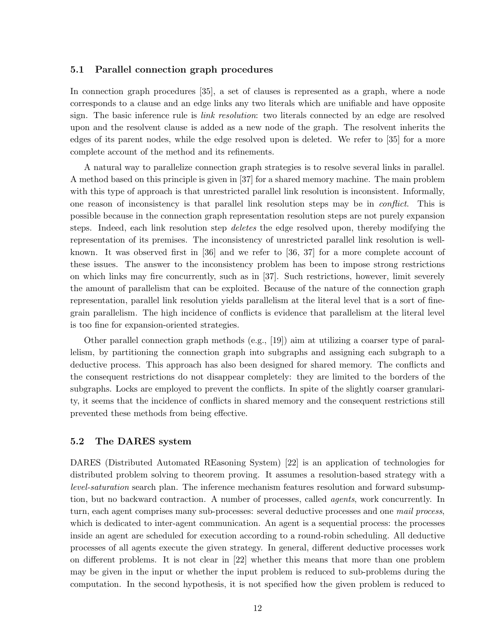## 5.1 Parallel connection graph procedures

In connection graph procedures [35], a set of clauses is represented as a graph, where a node corresponds to a clause and an edge links any two literals which are unifiable and have opposite sign. The basic inference rule is link resolution: two literals connected by an edge are resolved upon and the resolvent clause is added as a new node of the graph. The resolvent inherits the edges of its parent nodes, while the edge resolved upon is deleted. We refer to [35] for a more complete account of the method and its refinements.

A natural way to parallelize connection graph strategies is to resolve several links in parallel. A method based on this principle is given in [37] for a shared memory machine. The main problem with this type of approach is that unrestricted parallel link resolution is inconsistent. Informally, one reason of inconsistency is that parallel link resolution steps may be in *conflict*. This is possible because in the connection graph representation resolution steps are not purely expansion steps. Indeed, each link resolution step *deletes* the edge resolved upon, thereby modifying the representation of its premises. The inconsistency of unrestricted parallel link resolution is wellknown. It was observed first in [36] and we refer to [36, 37] for a more complete account of these issues. The answer to the inconsistency problem has been to impose strong restrictions on which links may fire concurrently, such as in [37]. Such restrictions, however, limit severely the amount of parallelism that can be exploited. Because of the nature of the connection graph representation, parallel link resolution yields parallelism at the literal level that is a sort of finegrain parallelism. The high incidence of conflicts is evidence that parallelism at the literal level is too fine for expansion-oriented strategies.

Other parallel connection graph methods (e.g., [19]) aim at utilizing a coarser type of parallelism, by partitioning the connection graph into subgraphs and assigning each subgraph to a deductive process. This approach has also been designed for shared memory. The conflicts and the consequent restrictions do not disappear completely: they are limited to the borders of the subgraphs. Locks are employed to prevent the conflicts. In spite of the slightly coarser granularity, it seems that the incidence of conflicts in shared memory and the consequent restrictions still prevented these methods from being effective.

### 5.2 The DARES system

DARES (Distributed Automated REasoning System) [22] is an application of technologies for distributed problem solving to theorem proving. It assumes a resolution-based strategy with a level-saturation search plan. The inference mechanism features resolution and forward subsumption, but no backward contraction. A number of processes, called agents, work concurrently. In turn, each agent comprises many sub-processes: several deductive processes and one mail process, which is dedicated to inter-agent communication. An agent is a sequential process: the processes inside an agent are scheduled for execution according to a round-robin scheduling. All deductive processes of all agents execute the given strategy. In general, different deductive processes work on different problems. It is not clear in [22] whether this means that more than one problem may be given in the input or whether the input problem is reduced to sub-problems during the computation. In the second hypothesis, it is not specified how the given problem is reduced to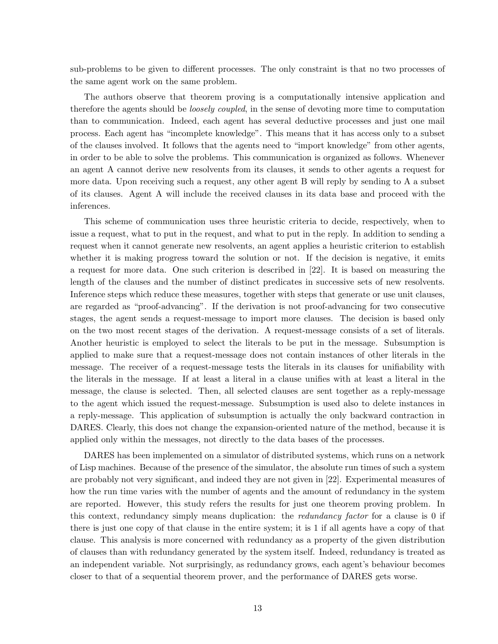sub-problems to be given to different processes. The only constraint is that no two processes of the same agent work on the same problem.

The authors observe that theorem proving is a computationally intensive application and therefore the agents should be loosely coupled, in the sense of devoting more time to computation than to communication. Indeed, each agent has several deductive processes and just one mail process. Each agent has "incomplete knowledge". This means that it has access only to a subset of the clauses involved. It follows that the agents need to "import knowledge" from other agents, in order to be able to solve the problems. This communication is organized as follows. Whenever an agent A cannot derive new resolvents from its clauses, it sends to other agents a request for more data. Upon receiving such a request, any other agent B will reply by sending to A a subset of its clauses. Agent A will include the received clauses in its data base and proceed with the inferences.

This scheme of communication uses three heuristic criteria to decide, respectively, when to issue a request, what to put in the request, and what to put in the reply. In addition to sending a request when it cannot generate new resolvents, an agent applies a heuristic criterion to establish whether it is making progress toward the solution or not. If the decision is negative, it emits a request for more data. One such criterion is described in [22]. It is based on measuring the length of the clauses and the number of distinct predicates in successive sets of new resolvents. Inference steps which reduce these measures, together with steps that generate or use unit clauses, are regarded as "proof-advancing". If the derivation is not proof-advancing for two consecutive stages, the agent sends a request-message to import more clauses. The decision is based only on the two most recent stages of the derivation. A request-message consists of a set of literals. Another heuristic is employed to select the literals to be put in the message. Subsumption is applied to make sure that a request-message does not contain instances of other literals in the message. The receiver of a request-message tests the literals in its clauses for unifiability with the literals in the message. If at least a literal in a clause unifies with at least a literal in the message, the clause is selected. Then, all selected clauses are sent together as a reply-message to the agent which issued the request-message. Subsumption is used also to delete instances in a reply-message. This application of subsumption is actually the only backward contraction in DARES. Clearly, this does not change the expansion-oriented nature of the method, because it is applied only within the messages, not directly to the data bases of the processes.

DARES has been implemented on a simulator of distributed systems, which runs on a network of Lisp machines. Because of the presence of the simulator, the absolute run times of such a system are probably not very significant, and indeed they are not given in [22]. Experimental measures of how the run time varies with the number of agents and the amount of redundancy in the system are reported. However, this study refers the results for just one theorem proving problem. In this context, redundancy simply means duplication: the redundancy factor for a clause is 0 if there is just one copy of that clause in the entire system; it is 1 if all agents have a copy of that clause. This analysis is more concerned with redundancy as a property of the given distribution of clauses than with redundancy generated by the system itself. Indeed, redundancy is treated as an independent variable. Not surprisingly, as redundancy grows, each agent's behaviour becomes closer to that of a sequential theorem prover, and the performance of DARES gets worse.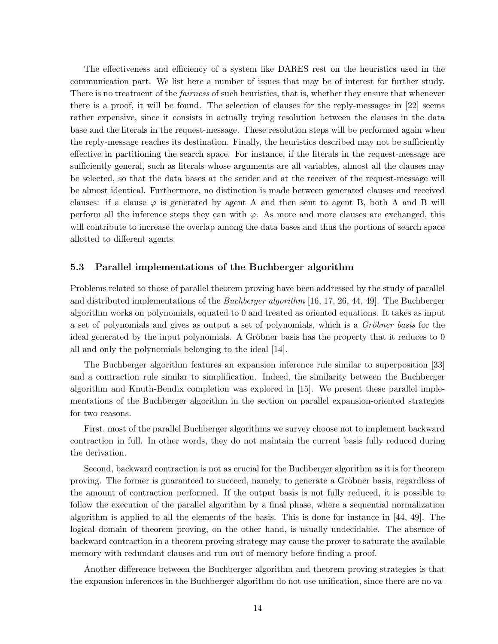The effectiveness and efficiency of a system like DARES rest on the heuristics used in the communication part. We list here a number of issues that may be of interest for further study. There is no treatment of the *fairness* of such heuristics, that is, whether they ensure that whenever there is a proof, it will be found. The selection of clauses for the reply-messages in [22] seems rather expensive, since it consists in actually trying resolution between the clauses in the data base and the literals in the request-message. These resolution steps will be performed again when the reply-message reaches its destination. Finally, the heuristics described may not be sufficiently effective in partitioning the search space. For instance, if the literals in the request-message are sufficiently general, such as literals whose arguments are all variables, almost all the clauses may be selected, so that the data bases at the sender and at the receiver of the request-message will be almost identical. Furthermore, no distinction is made between generated clauses and received clauses: if a clause  $\varphi$  is generated by agent A and then sent to agent B, both A and B will perform all the inference steps they can with  $\varphi$ . As more and more clauses are exchanged, this will contribute to increase the overlap among the data bases and thus the portions of search space allotted to different agents.

### 5.3 Parallel implementations of the Buchberger algorithm

Problems related to those of parallel theorem proving have been addressed by the study of parallel and distributed implementations of the Buchberger algorithm [16, 17, 26, 44, 49]. The Buchberger algorithm works on polynomials, equated to 0 and treated as oriented equations. It takes as input a set of polynomials and gives as output a set of polynomials, which is a *Gröbner basis* for the ideal generated by the input polynomials. A Gröbner basis has the property that it reduces to 0 all and only the polynomials belonging to the ideal [14].

The Buchberger algorithm features an expansion inference rule similar to superposition [33] and a contraction rule similar to simplification. Indeed, the similarity between the Buchberger algorithm and Knuth-Bendix completion was explored in [15]. We present these parallel implementations of the Buchberger algorithm in the section on parallel expansion-oriented strategies for two reasons.

First, most of the parallel Buchberger algorithms we survey choose not to implement backward contraction in full. In other words, they do not maintain the current basis fully reduced during the derivation.

Second, backward contraction is not as crucial for the Buchberger algorithm as it is for theorem proving. The former is guaranteed to succeed, namely, to generate a Gröbner basis, regardless of the amount of contraction performed. If the output basis is not fully reduced, it is possible to follow the execution of the parallel algorithm by a final phase, where a sequential normalization algorithm is applied to all the elements of the basis. This is done for instance in [44, 49]. The logical domain of theorem proving, on the other hand, is usually undecidable. The absence of backward contraction in a theorem proving strategy may cause the prover to saturate the available memory with redundant clauses and run out of memory before finding a proof.

Another difference between the Buchberger algorithm and theorem proving strategies is that the expansion inferences in the Buchberger algorithm do not use unification, since there are no va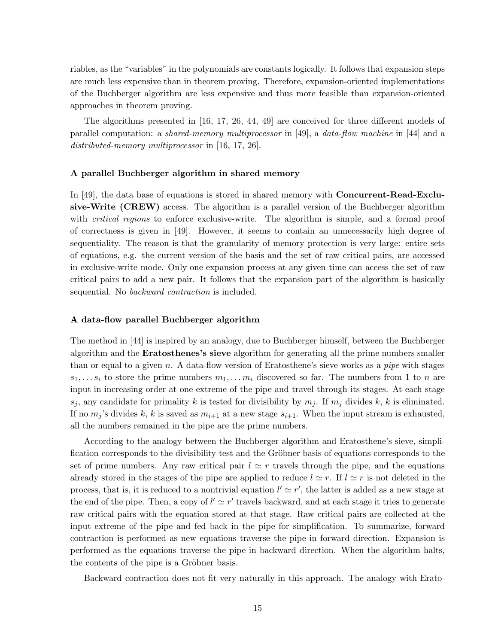riables, as the "variables" in the polynomials are constants logically. It follows that expansion steps are much less expensive than in theorem proving. Therefore, expansion-oriented implementations of the Buchberger algorithm are less expensive and thus more feasible than expansion-oriented approaches in theorem proving.

The algorithms presented in [16, 17, 26, 44, 49] are conceived for three different models of parallel computation: a shared-memory multiprocessor in [49], a data-flow machine in [44] and a distributed-memory multiprocessor in [16, 17, 26].

#### A parallel Buchberger algorithm in shared memory

In [49], the data base of equations is stored in shared memory with **Concurrent-Read-Exclu**sive-Write (CREW) access. The algorithm is a parallel version of the Buchberger algorithm with *critical regions* to enforce exclusive-write. The algorithm is simple, and a formal proof of correctness is given in [49]. However, it seems to contain an unnecessarily high degree of sequentiality. The reason is that the granularity of memory protection is very large: entire sets of equations, e.g. the current version of the basis and the set of raw critical pairs, are accessed in exclusive-write mode. Only one expansion process at any given time can access the set of raw critical pairs to add a new pair. It follows that the expansion part of the algorithm is basically sequential. No backward contraction is included.

#### A data-flow parallel Buchberger algorithm

The method in [44] is inspired by an analogy, due to Buchberger himself, between the Buchberger algorithm and the Eratosthenes's sieve algorithm for generating all the prime numbers smaller than or equal to a given n. A data-flow version of Eratosthene's sieve works as a pipe with stages  $s_1, \ldots s_i$  to store the prime numbers  $m_1, \ldots m_i$  discovered so far. The numbers from 1 to n are input in increasing order at one extreme of the pipe and travel through its stages. At each stage  $s_j$ , any candidate for primality k is tested for divisibility by  $m_j$ . If  $m_j$  divides k, k is eliminated. If no  $m_j$ 's divides k, k is saved as  $m_{i+1}$  at a new stage  $s_{i+1}$ . When the input stream is exhausted, all the numbers remained in the pipe are the prime numbers.

According to the analogy between the Buchberger algorithm and Eratosthene's sieve, simplification corresponds to the divisibility test and the Gröbner basis of equations corresponds to the set of prime numbers. Any raw critical pair  $l \simeq r$  travels through the pipe, and the equations already stored in the stages of the pipe are applied to reduce  $l \simeq r$ . If  $l \simeq r$  is not deleted in the process, that is, it is reduced to a nontrivial equation  $l' \simeq r'$ , the latter is added as a new stage at the end of the pipe. Then, a copy of  $l' \simeq r'$  travels backward, and at each stage it tries to generate raw critical pairs with the equation stored at that stage. Raw critical pairs are collected at the input extreme of the pipe and fed back in the pipe for simplification. To summarize, forward contraction is performed as new equations traverse the pipe in forward direction. Expansion is performed as the equations traverse the pipe in backward direction. When the algorithm halts, the contents of the pipe is a Gröbner basis.

Backward contraction does not fit very naturally in this approach. The analogy with Erato-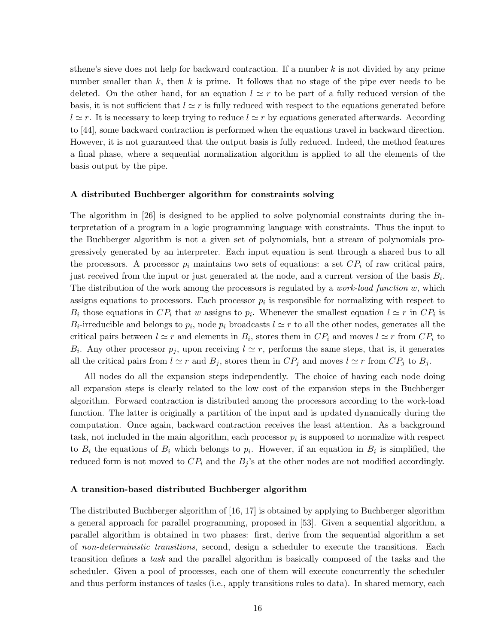sthene's sieve does not help for backward contraction. If a number  $k$  is not divided by any prime number smaller than  $k$ , then  $k$  is prime. It follows that no stage of the pipe ever needs to be deleted. On the other hand, for an equation  $l \approx r$  to be part of a fully reduced version of the basis, it is not sufficient that  $l \approx r$  is fully reduced with respect to the equations generated before  $l \simeq r$ . It is necessary to keep trying to reduce  $l \simeq r$  by equations generated afterwards. According to [44], some backward contraction is performed when the equations travel in backward direction. However, it is not guaranteed that the output basis is fully reduced. Indeed, the method features a final phase, where a sequential normalization algorithm is applied to all the elements of the basis output by the pipe.

#### A distributed Buchberger algorithm for constraints solving

The algorithm in [26] is designed to be applied to solve polynomial constraints during the interpretation of a program in a logic programming language with constraints. Thus the input to the Buchberger algorithm is not a given set of polynomials, but a stream of polynomials progressively generated by an interpreter. Each input equation is sent through a shared bus to all the processors. A processor  $p_i$  maintains two sets of equations: a set  $CP_i$  of raw critical pairs, just received from the input or just generated at the node, and a current version of the basis  $B_i$ . The distribution of the work among the processors is regulated by a *work-load function*  $w$ , which assigns equations to processors. Each processor  $p_i$  is responsible for normalizing with respect to  $B_i$  those equations in  $CP_i$  that w assigns to  $p_i$ . Whenever the smallest equation  $l \simeq r$  in  $CP_i$  is  $B_i$ -irreducible and belongs to  $p_i$ , node  $p_i$  broadcasts  $l \simeq r$  to all the other nodes, generates all the critical pairs between  $l \simeq r$  and elements in  $B_i$ , stores them in  $CP_i$  and moves  $l \simeq r$  from  $CP_i$  to  $B_i$ . Any other processor  $p_j$ , upon receiving  $l \simeq r$ , performs the same steps, that is, it generates all the critical pairs from  $l \simeq r$  and  $B_j$ , stores them in  $CP_j$  and moves  $l \simeq r$  from  $CP_j$  to  $B_j$ .

All nodes do all the expansion steps independently. The choice of having each node doing all expansion steps is clearly related to the low cost of the expansion steps in the Buchberger algorithm. Forward contraction is distributed among the processors according to the work-load function. The latter is originally a partition of the input and is updated dynamically during the computation. Once again, backward contraction receives the least attention. As a background task, not included in the main algorithm, each processor  $p_i$  is supposed to normalize with respect to  $B_i$  the equations of  $B_i$  which belongs to  $p_i$ . However, if an equation in  $B_i$  is simplified, the reduced form is not moved to  $CP_i$  and the  $B_j$ 's at the other nodes are not modified accordingly.

#### A transition-based distributed Buchberger algorithm

The distributed Buchberger algorithm of [16, 17] is obtained by applying to Buchberger algorithm a general approach for parallel programming, proposed in [53]. Given a sequential algorithm, a parallel algorithm is obtained in two phases: first, derive from the sequential algorithm a set of non-deterministic transitions, second, design a scheduler to execute the transitions. Each transition defines a task and the parallel algorithm is basically composed of the tasks and the scheduler. Given a pool of processes, each one of them will execute concurrently the scheduler and thus perform instances of tasks (i.e., apply transitions rules to data). In shared memory, each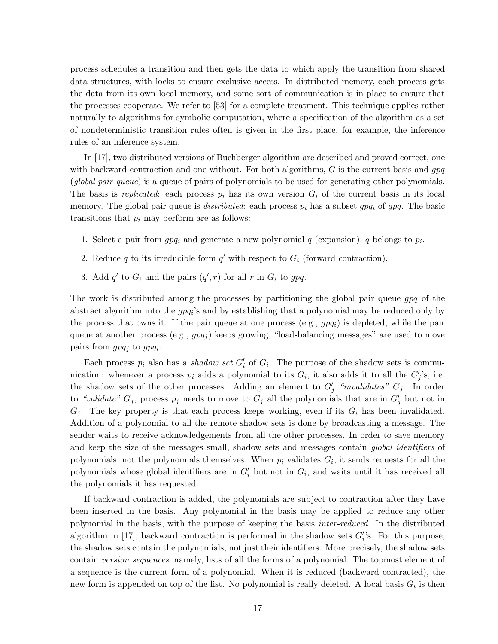process schedules a transition and then gets the data to which apply the transition from shared data structures, with locks to ensure exclusive access. In distributed memory, each process gets the data from its own local memory, and some sort of communication is in place to ensure that the processes cooperate. We refer to [53] for a complete treatment. This technique applies rather naturally to algorithms for symbolic computation, where a specification of the algorithm as a set of nondeterministic transition rules often is given in the first place, for example, the inference rules of an inference system.

In [17], two distributed versions of Buchberger algorithm are described and proved correct, one with backward contraction and one without. For both algorithms,  $G$  is the current basis and  $gpq$ (global pair queue) is a queue of pairs of polynomials to be used for generating other polynomials. The basis is replicated: each process  $p_i$  has its own version  $G_i$  of the current basis in its local memory. The global pair queue is *distributed*: each process  $p_i$  has a subset  $gp_i$  of gpq. The basic transitions that  $p_i$  may perform are as follows:

- 1. Select a pair from  $ppq_i$  and generate a new polynomial q (expansion); q belongs to  $p_i$ .
- 2. Reduce q to its irreducible form  $q'$  with respect to  $G_i$  (forward contraction).
- 3. Add  $q'$  to  $G_i$  and the pairs  $(q', r)$  for all r in  $G_i$  to gpq.

The work is distributed among the processes by partitioning the global pair queue gpq of the abstract algorithm into the  $ppq_i$ 's and by establishing that a polynomial may be reduced only by the process that owns it. If the pair queue at one process (e.g.,  $gpq_i$ ) is depleted, while the pair queue at another process (e.g.,  $gpq_i$ ) keeps growing, "load-balancing messages" are used to move pairs from  $ppq_j$  to  $ppq_i$ .

Each process  $p_i$  also has a *shadow set*  $G'_i$  of  $G_i$ . The purpose of the shadow sets is communication: whenever a process  $p_i$  adds a polynomial to its  $G_i$ , it also adds it to all the  $G'_j$ 's, i.e. the shadow sets of the other processes. Adding an element to  $G'_{j}$  "invalidates"  $G_{j}$ . In order to "validate"  $G_j$ , process  $p_j$  needs to move to  $G_j$  all the polynomials that are in  $G'_j$  but not in  $G_i$ . The key property is that each process keeps working, even if its  $G_i$  has been invalidated. Addition of a polynomial to all the remote shadow sets is done by broadcasting a message. The sender waits to receive acknowledgements from all the other processes. In order to save memory and keep the size of the messages small, shadow sets and messages contain *global identifiers* of polynomials, not the polynomials themselves. When  $p_i$  validates  $G_i$ , it sends requests for all the polynomials whose global identifiers are in  $G'_{i}$  but not in  $G_{i}$ , and waits until it has received all the polynomials it has requested.

If backward contraction is added, the polynomials are subject to contraction after they have been inserted in the basis. Any polynomial in the basis may be applied to reduce any other polynomial in the basis, with the purpose of keeping the basis inter-reduced. In the distributed algorithm in [17], backward contraction is performed in the shadow sets  $G_i$ 's. For this purpose, the shadow sets contain the polynomials, not just their identifiers. More precisely, the shadow sets contain version sequences, namely, lists of all the forms of a polynomial. The topmost element of a sequence is the current form of a polynomial. When it is reduced (backward contracted), the new form is appended on top of the list. No polynomial is really deleted. A local basis  $G_i$  is then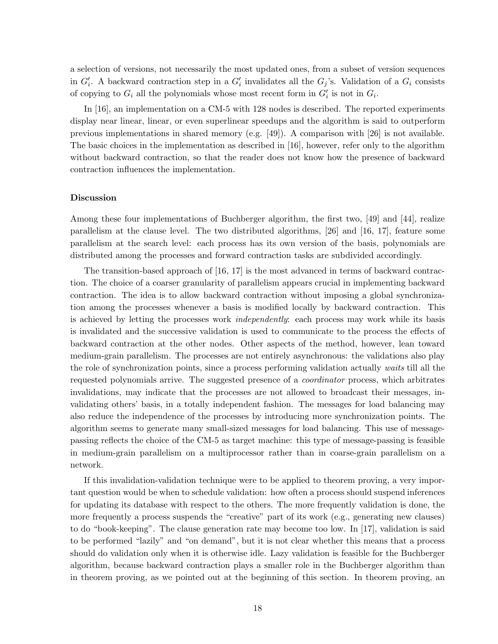a selection of versions, not necessarily the most updated ones, from a subset of version sequences in  $G'_{i}$ . A backward contraction step in a  $G'_{i}$  invalidates all the  $G_{j}$ 's. Validation of a  $G_{i}$  consists of copying to  $G_i$  all the polynomials whose most recent form in  $G'_i$  is not in  $G_i$ .

In [16], an implementation on a CM-5 with 128 nodes is described. The reported experiments display near linear, linear, or even superlinear speedups and the algorithm is said to outperform previous implementations in shared memory (e.g. [49]). A comparison with [26] is not available. The basic choices in the implementation as described in [16], however, refer only to the algorithm without backward contraction, so that the reader does not know how the presence of backward contraction influences the implementation.

### Discussion

Among these four implementations of Buchberger algorithm, the first two, [49] and [44], realize parallelism at the clause level. The two distributed algorithms, [26] and [16, 17], feature some parallelism at the search level: each process has its own version of the basis, polynomials are distributed among the processes and forward contraction tasks are subdivided accordingly.

The transition-based approach of [16, 17] is the most advanced in terms of backward contraction. The choice of a coarser granularity of parallelism appears crucial in implementing backward contraction. The idea is to allow backward contraction without imposing a global synchronization among the processes whenever a basis is modified locally by backward contraction. This is achieved by letting the processes work independently: each process may work while its basis is invalidated and the successive validation is used to communicate to the process the effects of backward contraction at the other nodes. Other aspects of the method, however, lean toward medium-grain parallelism. The processes are not entirely asynchronous: the validations also play the role of synchronization points, since a process performing validation actually waits till all the requested polynomials arrive. The suggested presence of a coordinator process, which arbitrates invalidations, may indicate that the processes are not allowed to broadcast their messages, invalidating others' basis, in a totally independent fashion. The messages for load balancing may also reduce the independence of the processes by introducing more synchronization points. The algorithm seems to generate many small-sized messages for load balancing. This use of messagepassing reflects the choice of the CM-5 as target machine: this type of message-passing is feasible in medium-grain parallelism on a multiprocessor rather than in coarse-grain parallelism on a network.

If this invalidation-validation technique were to be applied to theorem proving, a very important question would be when to schedule validation: how often a process should suspend inferences for updating its database with respect to the others. The more frequently validation is done, the more frequently a process suspends the "creative" part of its work (e.g., generating new clauses) to do "book-keeping". The clause generation rate may become too low. In [17], validation is said to be performed "lazily" and "on demand", but it is not clear whether this means that a process should do validation only when it is otherwise idle. Lazy validation is feasible for the Buchberger algorithm, because backward contraction plays a smaller role in the Buchberger algorithm than in theorem proving, as we pointed out at the beginning of this section. In theorem proving, an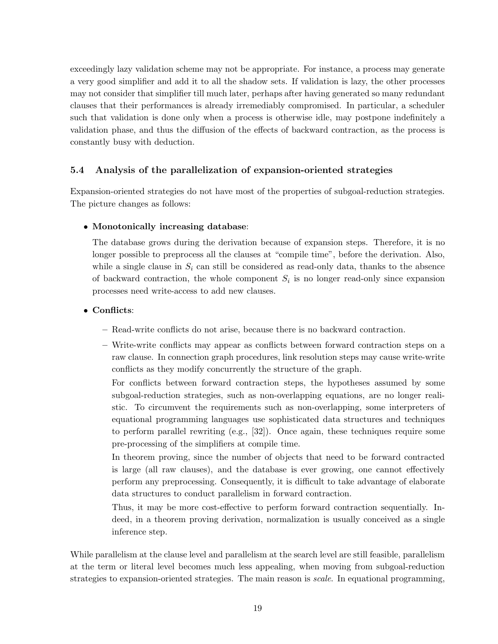exceedingly lazy validation scheme may not be appropriate. For instance, a process may generate a very good simplifier and add it to all the shadow sets. If validation is lazy, the other processes may not consider that simplifier till much later, perhaps after having generated so many redundant clauses that their performances is already irremediably compromised. In particular, a scheduler such that validation is done only when a process is otherwise idle, may postpone indefinitely a validation phase, and thus the diffusion of the effects of backward contraction, as the process is constantly busy with deduction.

## 5.4 Analysis of the parallelization of expansion-oriented strategies

Expansion-oriented strategies do not have most of the properties of subgoal-reduction strategies. The picture changes as follows:

## • Monotonically increasing database:

The database grows during the derivation because of expansion steps. Therefore, it is no longer possible to preprocess all the clauses at "compile time", before the derivation. Also, while a single clause in  $S_i$  can still be considered as read-only data, thanks to the absence of backward contraction, the whole component  $S_i$  is no longer read-only since expansion processes need write-access to add new clauses.

## • Conflicts:

- Read-write conflicts do not arise, because there is no backward contraction.
- Write-write conflicts may appear as conflicts between forward contraction steps on a raw clause. In connection graph procedures, link resolution steps may cause write-write conflicts as they modify concurrently the structure of the graph.

For conflicts between forward contraction steps, the hypotheses assumed by some subgoal-reduction strategies, such as non-overlapping equations, are no longer realistic. To circumvent the requirements such as non-overlapping, some interpreters of equational programming languages use sophisticated data structures and techniques to perform parallel rewriting (e.g., [32]). Once again, these techniques require some pre-processing of the simplifiers at compile time.

In theorem proving, since the number of objects that need to be forward contracted is large (all raw clauses), and the database is ever growing, one cannot effectively perform any preprocessing. Consequently, it is difficult to take advantage of elaborate data structures to conduct parallelism in forward contraction.

Thus, it may be more cost-effective to perform forward contraction sequentially. Indeed, in a theorem proving derivation, normalization is usually conceived as a single inference step.

While parallelism at the clause level and parallelism at the search level are still feasible, parallelism at the term or literal level becomes much less appealing, when moving from subgoal-reduction strategies to expansion-oriented strategies. The main reason is scale. In equational programming,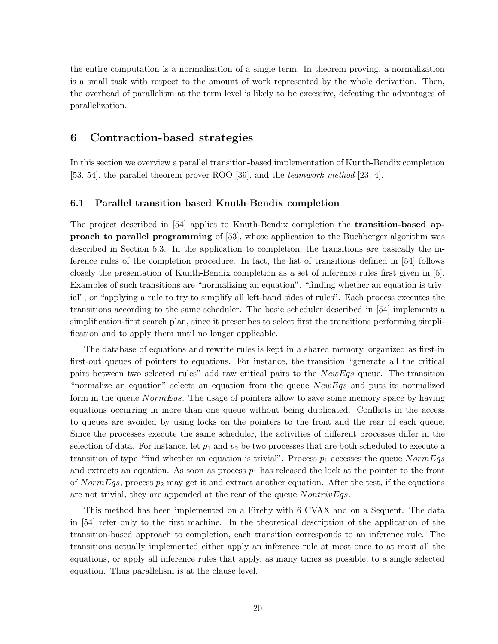the entire computation is a normalization of a single term. In theorem proving, a normalization is a small task with respect to the amount of work represented by the whole derivation. Then, the overhead of parallelism at the term level is likely to be excessive, defeating the advantages of parallelization.

## 6 Contraction-based strategies

In this section we overview a parallel transition-based implementation of Kunth-Bendix completion [53, 54], the parallel theorem prover ROO [39], and the teamwork method [23, 4].

## 6.1 Parallel transition-based Knuth-Bendix completion

The project described in [54] applies to Knuth-Bendix completion the transition-based approach to parallel programming of [53], whose application to the Buchberger algorithm was described in Section 5.3. In the application to completion, the transitions are basically the inference rules of the completion procedure. In fact, the list of transitions defined in [54] follows closely the presentation of Kunth-Bendix completion as a set of inference rules first given in [5]. Examples of such transitions are "normalizing an equation", "finding whether an equation is trivial", or "applying a rule to try to simplify all left-hand sides of rules". Each process executes the transitions according to the same scheduler. The basic scheduler described in [54] implements a simplification-first search plan, since it prescribes to select first the transitions performing simplification and to apply them until no longer applicable.

The database of equations and rewrite rules is kept in a shared memory, organized as first-in first-out queues of pointers to equations. For instance, the transition "generate all the critical pairs between two selected rules" add raw critical pairs to the  $NewEqs$  queue. The transition "normalize an equation" selects an equation from the queue  $NewEqs$  and puts its normalized form in the queue  $NormEqs$ . The usage of pointers allow to save some memory space by having equations occurring in more than one queue without being duplicated. Conflicts in the access to queues are avoided by using locks on the pointers to the front and the rear of each queue. Since the processes execute the same scheduler, the activities of different processes differ in the selection of data. For instance, let  $p_1$  and  $p_2$  be two processes that are both scheduled to execute a transition of type "find whether an equation is trivial". Process  $p_1$  accesses the queue  $NormEqs$ and extracts an equation. As soon as process  $p_1$  has released the lock at the pointer to the front of NormEqs, process  $p_2$  may get it and extract another equation. After the test, if the equations are not trivial, they are appended at the rear of the queue NontrivEqs.

This method has been implemented on a Firefly with 6 CVAX and on a Sequent. The data in [54] refer only to the first machine. In the theoretical description of the application of the transition-based approach to completion, each transition corresponds to an inference rule. The transitions actually implemented either apply an inference rule at most once to at most all the equations, or apply all inference rules that apply, as many times as possible, to a single selected equation. Thus parallelism is at the clause level.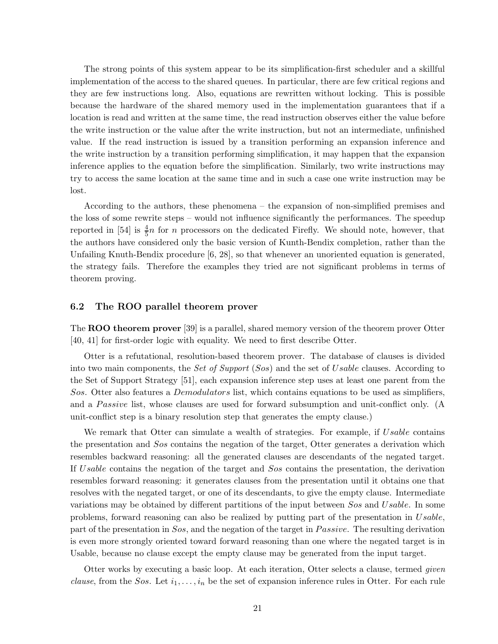The strong points of this system appear to be its simplification-first scheduler and a skillful implementation of the access to the shared queues. In particular, there are few critical regions and they are few instructions long. Also, equations are rewritten without locking. This is possible because the hardware of the shared memory used in the implementation guarantees that if a location is read and written at the same time, the read instruction observes either the value before the write instruction or the value after the write instruction, but not an intermediate, unfinished value. If the read instruction is issued by a transition performing an expansion inference and the write instruction by a transition performing simplification, it may happen that the expansion inference applies to the equation before the simplification. Similarly, two write instructions may try to access the same location at the same time and in such a case one write instruction may be lost.

According to the authors, these phenomena – the expansion of non-simplified premises and the loss of some rewrite steps – would not influence significantly the performances. The speedup reported in [54] is  $\frac{4}{5}n$  for n processors on the dedicated Firefly. We should note, however, that the authors have considered only the basic version of Kunth-Bendix completion, rather than the Unfailing Knuth-Bendix procedure [6, 28], so that whenever an unoriented equation is generated, the strategy fails. Therefore the examples they tried are not significant problems in terms of theorem proving.

#### 6.2 The ROO parallel theorem prover

The ROO theorem prover [39] is a parallel, shared memory version of the theorem prover Otter [40, 41] for first-order logic with equality. We need to first describe Otter.

Otter is a refutational, resolution-based theorem prover. The database of clauses is divided into two main components, the *Set of Support* (*Sos*) and the set of Usable clauses. According to the Set of Support Strategy [51], each expansion inference step uses at least one parent from the Sos. Otter also features a Demodulators list, which contains equations to be used as simplifiers, and a *Passive* list, whose clauses are used for forward subsumption and unit-conflict only. (A unit-conflict step is a binary resolution step that generates the empty clause.)

We remark that Otter can simulate a wealth of strategies. For example, if Usable contains the presentation and Sos contains the negation of the target, Otter generates a derivation which resembles backward reasoning: all the generated clauses are descendants of the negated target. If Usable contains the negation of the target and Sos contains the presentation, the derivation resembles forward reasoning: it generates clauses from the presentation until it obtains one that resolves with the negated target, or one of its descendants, to give the empty clause. Intermediate variations may be obtained by different partitions of the input between Sos and Usable. In some problems, forward reasoning can also be realized by putting part of the presentation in Usable, part of the presentation in  $Sos$ , and the negation of the target in  $Passive$ . The resulting derivation is even more strongly oriented toward forward reasoning than one where the negated target is in Usable, because no clause except the empty clause may be generated from the input target.

Otter works by executing a basic loop. At each iteration, Otter selects a clause, termed *given clause*, from the Sos. Let  $i_1, \ldots, i_n$  be the set of expansion inference rules in Otter. For each rule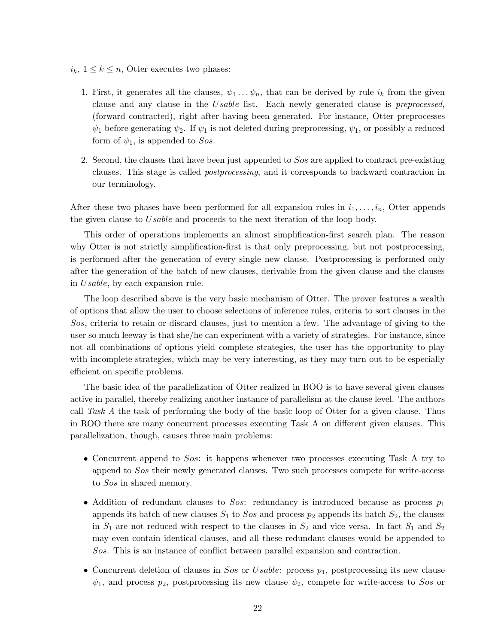- $i_k$ ,  $1 \leq k \leq n$ , Otter executes two phases:
	- 1. First, it generates all the clauses,  $\psi_1 \dots \psi_n$ , that can be derived by rule  $i_k$  from the given clause and any clause in the Usable list. Each newly generated clause is preprocessed, (forward contracted), right after having been generated. For instance, Otter preprocesses  $\psi_1$  before generating  $\psi_2$ . If  $\psi_1$  is not deleted during preprocessing,  $\psi_1$ , or possibly a reduced form of  $\psi_1$ , is appended to Sos.
	- 2. Second, the clauses that have been just appended to Sos are applied to contract pre-existing clauses. This stage is called postprocessing, and it corresponds to backward contraction in our terminology.

After these two phases have been performed for all expansion rules in  $i_1, \ldots, i_n$ , Otter appends the given clause to Usable and proceeds to the next iteration of the loop body.

This order of operations implements an almost simplification-first search plan. The reason why Otter is not strictly simplification-first is that only preprocessing, but not postprocessing, is performed after the generation of every single new clause. Postprocessing is performed only after the generation of the batch of new clauses, derivable from the given clause and the clauses in Usable, by each expansion rule.

The loop described above is the very basic mechanism of Otter. The prover features a wealth of options that allow the user to choose selections of inference rules, criteria to sort clauses in the Sos, criteria to retain or discard clauses, just to mention a few. The advantage of giving to the user so much leeway is that she/he can experiment with a variety of strategies. For instance, since not all combinations of options yield complete strategies, the user has the opportunity to play with incomplete strategies, which may be very interesting, as they may turn out to be especially efficient on specific problems.

The basic idea of the parallelization of Otter realized in ROO is to have several given clauses active in parallel, thereby realizing another instance of parallelism at the clause level. The authors call Task A the task of performing the body of the basic loop of Otter for a given clause. Thus in ROO there are many concurrent processes executing Task A on different given clauses. This parallelization, though, causes three main problems:

- Concurrent append to Sos: it happens whenever two processes executing Task A try to append to Sos their newly generated clauses. Two such processes compete for write-access to Sos in shared memory.
- Addition of redundant clauses to Sos: redundancy is introduced because as process  $p_1$ appends its batch of new clauses  $S_1$  to  $Sos$  and process  $p_2$  appends its batch  $S_2$ , the clauses in  $S_1$  are not reduced with respect to the clauses in  $S_2$  and vice versa. In fact  $S_1$  and  $S_2$ may even contain identical clauses, and all these redundant clauses would be appended to Sos. This is an instance of conflict between parallel expansion and contraction.
- Concurrent deletion of clauses in  $Sos$  or Usable: process  $p_1$ , postprocessing its new clause  $\psi_1$ , and process  $p_2$ , postprocessing its new clause  $\psi_2$ , compete for write-access to Sos or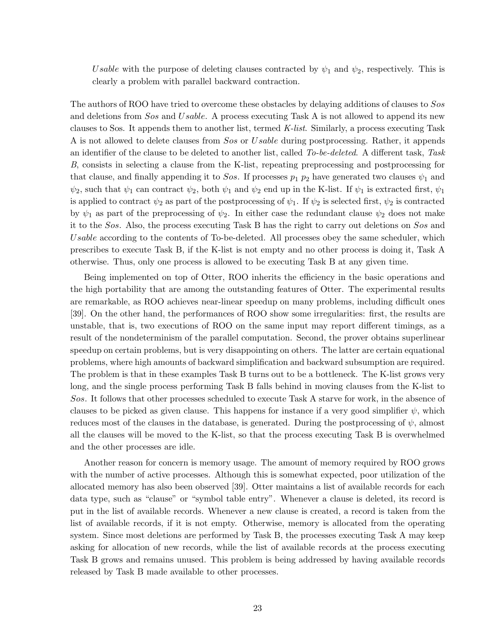Usable with the purpose of deleting clauses contracted by  $\psi_1$  and  $\psi_2$ , respectively. This is clearly a problem with parallel backward contraction.

The authors of ROO have tried to overcome these obstacles by delaying additions of clauses to Sos and deletions from Sos and Usable. A process executing Task A is not allowed to append its new clauses to Sos. It appends them to another list, termed K-list. Similarly, a process executing Task A is not allowed to delete clauses from Sos or Usable during postprocessing. Rather, it appends an identifier of the clause to be deleted to another list, called To-be-deleted. A different task, Task B, consists in selecting a clause from the K-list, repeating preprocessing and postprocessing for that clause, and finally appending it to Sos. If processes  $p_1$   $p_2$  have generated two clauses  $\psi_1$  and  $\psi_2$ , such that  $\psi_1$  can contract  $\psi_2$ , both  $\psi_1$  and  $\psi_2$  end up in the K-list. If  $\psi_1$  is extracted first,  $\psi_1$ is applied to contract  $\psi_2$  as part of the postprocessing of  $\psi_1$ . If  $\psi_2$  is selected first,  $\psi_2$  is contracted by  $\psi_1$  as part of the preprocessing of  $\psi_2$ . In either case the redundant clause  $\psi_2$  does not make it to the Sos. Also, the process executing Task B has the right to carry out deletions on Sos and Usable according to the contents of To-be-deleted. All processes obey the same scheduler, which prescribes to execute Task B, if the K-list is not empty and no other process is doing it, Task A otherwise. Thus, only one process is allowed to be executing Task B at any given time.

Being implemented on top of Otter, ROO inherits the efficiency in the basic operations and the high portability that are among the outstanding features of Otter. The experimental results are remarkable, as ROO achieves near-linear speedup on many problems, including difficult ones [39]. On the other hand, the performances of ROO show some irregularities: first, the results are unstable, that is, two executions of ROO on the same input may report different timings, as a result of the nondeterminism of the parallel computation. Second, the prover obtains superlinear speedup on certain problems, but is very disappointing on others. The latter are certain equational problems, where high amounts of backward simplification and backward subsumption are required. The problem is that in these examples Task B turns out to be a bottleneck. The K-list grows very long, and the single process performing Task B falls behind in moving clauses from the K-list to Sos. It follows that other processes scheduled to execute Task A starve for work, in the absence of clauses to be picked as given clause. This happens for instance if a very good simplifier  $\psi$ , which reduces most of the clauses in the database, is generated. During the postprocessing of  $\psi$ , almost all the clauses will be moved to the K-list, so that the process executing Task B is overwhelmed and the other processes are idle.

Another reason for concern is memory usage. The amount of memory required by ROO grows with the number of active processes. Although this is somewhat expected, poor utilization of the allocated memory has also been observed [39]. Otter maintains a list of available records for each data type, such as "clause" or "symbol table entry". Whenever a clause is deleted, its record is put in the list of available records. Whenever a new clause is created, a record is taken from the list of available records, if it is not empty. Otherwise, memory is allocated from the operating system. Since most deletions are performed by Task B, the processes executing Task A may keep asking for allocation of new records, while the list of available records at the process executing Task B grows and remains unused. This problem is being addressed by having available records released by Task B made available to other processes.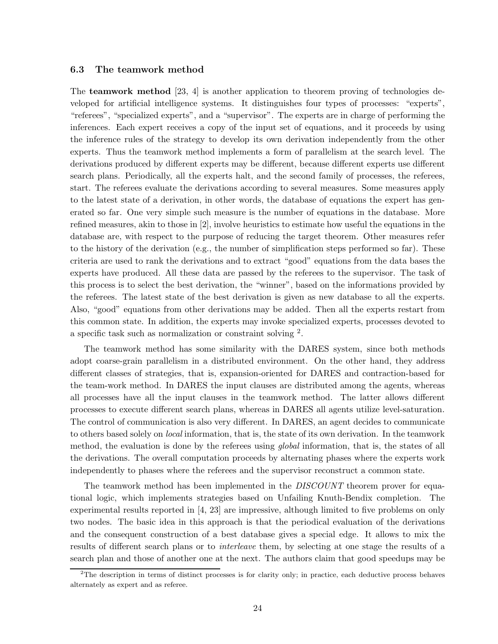## 6.3 The teamwork method

The **teamwork method** [23, 4] is another application to theorem proving of technologies developed for artificial intelligence systems. It distinguishes four types of processes: "experts", "referees", "specialized experts", and a "supervisor". The experts are in charge of performing the inferences. Each expert receives a copy of the input set of equations, and it proceeds by using the inference rules of the strategy to develop its own derivation independently from the other experts. Thus the teamwork method implements a form of parallelism at the search level. The derivations produced by different experts may be different, because different experts use different search plans. Periodically, all the experts halt, and the second family of processes, the referees, start. The referees evaluate the derivations according to several measures. Some measures apply to the latest state of a derivation, in other words, the database of equations the expert has generated so far. One very simple such measure is the number of equations in the database. More refined measures, akin to those in [2], involve heuristics to estimate how useful the equations in the database are, with respect to the purpose of reducing the target theorem. Other measures refer to the history of the derivation (e.g., the number of simplification steps performed so far). These criteria are used to rank the derivations and to extract "good" equations from the data bases the experts have produced. All these data are passed by the referees to the supervisor. The task of this process is to select the best derivation, the "winner", based on the informations provided by the referees. The latest state of the best derivation is given as new database to all the experts. Also, "good" equations from other derivations may be added. Then all the experts restart from this common state. In addition, the experts may invoke specialized experts, processes devoted to a specific task such as normalization or constraint solving <sup>2</sup> .

The teamwork method has some similarity with the DARES system, since both methods adopt coarse-grain parallelism in a distributed environment. On the other hand, they address different classes of strategies, that is, expansion-oriented for DARES and contraction-based for the team-work method. In DARES the input clauses are distributed among the agents, whereas all processes have all the input clauses in the teamwork method. The latter allows different processes to execute different search plans, whereas in DARES all agents utilize level-saturation. The control of communication is also very different. In DARES, an agent decides to communicate to others based solely on local information, that is, the state of its own derivation. In the teamwork method, the evaluation is done by the referees using *global* information, that is, the states of all the derivations. The overall computation proceeds by alternating phases where the experts work independently to phases where the referees and the supervisor reconstruct a common state.

The teamwork method has been implemented in the *DISCOUNT* theorem prover for equational logic, which implements strategies based on Unfailing Knuth-Bendix completion. The experimental results reported in [4, 23] are impressive, although limited to five problems on only two nodes. The basic idea in this approach is that the periodical evaluation of the derivations and the consequent construction of a best database gives a special edge. It allows to mix the results of different search plans or to interleave them, by selecting at one stage the results of a search plan and those of another one at the next. The authors claim that good speedups may be

<sup>&</sup>lt;sup>2</sup>The description in terms of distinct processes is for clarity only; in practice, each deductive process behaves alternately as expert and as referee.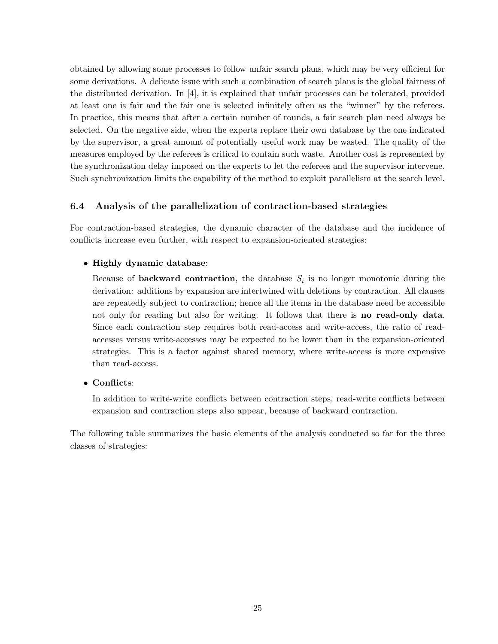obtained by allowing some processes to follow unfair search plans, which may be very efficient for some derivations. A delicate issue with such a combination of search plans is the global fairness of the distributed derivation. In [4], it is explained that unfair processes can be tolerated, provided at least one is fair and the fair one is selected infinitely often as the "winner" by the referees. In practice, this means that after a certain number of rounds, a fair search plan need always be selected. On the negative side, when the experts replace their own database by the one indicated by the supervisor, a great amount of potentially useful work may be wasted. The quality of the measures employed by the referees is critical to contain such waste. Another cost is represented by the synchronization delay imposed on the experts to let the referees and the supervisor intervene. Such synchronization limits the capability of the method to exploit parallelism at the search level.

## 6.4 Analysis of the parallelization of contraction-based strategies

For contraction-based strategies, the dynamic character of the database and the incidence of conflicts increase even further, with respect to expansion-oriented strategies:

## • Highly dynamic database:

Because of **backward contraction**, the database  $S_i$  is no longer monotonic during the derivation: additions by expansion are intertwined with deletions by contraction. All clauses are repeatedly subject to contraction; hence all the items in the database need be accessible not only for reading but also for writing. It follows that there is **no read-only data**. Since each contraction step requires both read-access and write-access, the ratio of readaccesses versus write-accesses may be expected to be lower than in the expansion-oriented strategies. This is a factor against shared memory, where write-access is more expensive than read-access.

## • Conflicts:

In addition to write-write conflicts between contraction steps, read-write conflicts between expansion and contraction steps also appear, because of backward contraction.

The following table summarizes the basic elements of the analysis conducted so far for the three classes of strategies: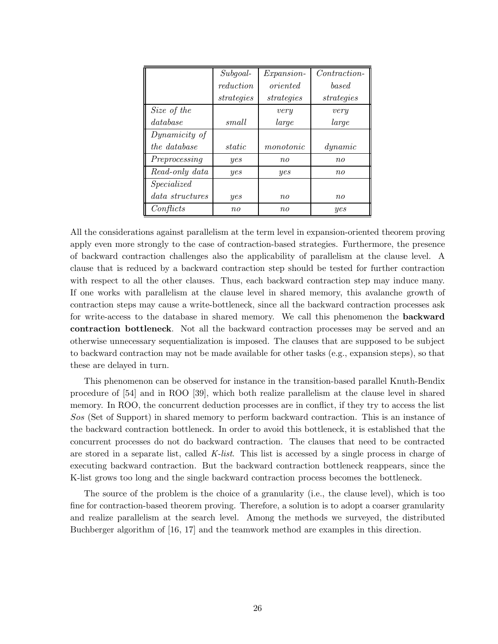|                        | $Subgoal-$ | <i>Expansion-</i> | $Contraction-$ |
|------------------------|------------|-------------------|----------------|
|                        | reduction  | oriented          | based          |
|                        | strategies | strategies        | strategies     |
| Size of the            |            | very              | very           |
| data base              | small      | large             | large          |
| Dynamicity of          |            |                   |                |
| <i>the database</i>    | static     | monotonic         | dynamic        |
| Preprocessing          | yes        | $n_{0}$           | $n_{0}$        |
| Read-only data         | yes        | yes               | $n_{0}$        |
| Specialized            |            |                   |                |
| <i>data structures</i> | yes        | $n_{0}$           | $n_{0}$        |
| Conflicts              | $n$ o      | $n$ o             | yes            |

All the considerations against parallelism at the term level in expansion-oriented theorem proving apply even more strongly to the case of contraction-based strategies. Furthermore, the presence of backward contraction challenges also the applicability of parallelism at the clause level. A clause that is reduced by a backward contraction step should be tested for further contraction with respect to all the other clauses. Thus, each backward contraction step may induce many. If one works with parallelism at the clause level in shared memory, this avalanche growth of contraction steps may cause a write-bottleneck, since all the backward contraction processes ask for write-access to the database in shared memory. We call this phenomenon the backward contraction bottleneck. Not all the backward contraction processes may be served and an otherwise unnecessary sequentialization is imposed. The clauses that are supposed to be subject to backward contraction may not be made available for other tasks (e.g., expansion steps), so that these are delayed in turn.

This phenomenon can be observed for instance in the transition-based parallel Knuth-Bendix procedure of [54] and in ROO [39], which both realize parallelism at the clause level in shared memory. In ROO, the concurrent deduction processes are in conflict, if they try to access the list Sos (Set of Support) in shared memory to perform backward contraction. This is an instance of the backward contraction bottleneck. In order to avoid this bottleneck, it is established that the concurrent processes do not do backward contraction. The clauses that need to be contracted are stored in a separate list, called  $K\text{-}list$ . This list is accessed by a single process in charge of executing backward contraction. But the backward contraction bottleneck reappears, since the K-list grows too long and the single backward contraction process becomes the bottleneck.

The source of the problem is the choice of a granularity (i.e., the clause level), which is too fine for contraction-based theorem proving. Therefore, a solution is to adopt a coarser granularity and realize parallelism at the search level. Among the methods we surveyed, the distributed Buchberger algorithm of [16, 17] and the teamwork method are examples in this direction.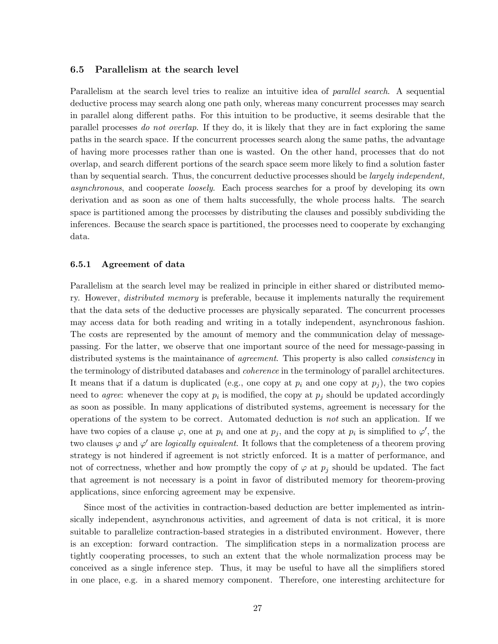### 6.5 Parallelism at the search level

Parallelism at the search level tries to realize an intuitive idea of *parallel search*. A sequential deductive process may search along one path only, whereas many concurrent processes may search in parallel along different paths. For this intuition to be productive, it seems desirable that the parallel processes do not overlap. If they do, it is likely that they are in fact exploring the same paths in the search space. If the concurrent processes search along the same paths, the advantage of having more processes rather than one is wasted. On the other hand, processes that do not overlap, and search different portions of the search space seem more likely to find a solution faster than by sequential search. Thus, the concurrent deductive processes should be *largely independent*, asynchronous, and cooperate loosely. Each process searches for a proof by developing its own derivation and as soon as one of them halts successfully, the whole process halts. The search space is partitioned among the processes by distributing the clauses and possibly subdividing the inferences. Because the search space is partitioned, the processes need to cooperate by exchanging data.

#### 6.5.1 Agreement of data

Parallelism at the search level may be realized in principle in either shared or distributed memory. However, distributed memory is preferable, because it implements naturally the requirement that the data sets of the deductive processes are physically separated. The concurrent processes may access data for both reading and writing in a totally independent, asynchronous fashion. The costs are represented by the amount of memory and the communication delay of messagepassing. For the latter, we observe that one important source of the need for message-passing in distributed systems is the maintainance of *agreement*. This property is also called *consistency* in the terminology of distributed databases and coherence in the terminology of parallel architectures. It means that if a datum is duplicated (e.g., one copy at  $p_i$  and one copy at  $p_j$ ), the two copies need to *agree*: whenever the copy at  $p_i$  is modified, the copy at  $p_j$  should be updated accordingly as soon as possible. In many applications of distributed systems, agreement is necessary for the operations of the system to be correct. Automated deduction is not such an application. If we have two copies of a clause  $\varphi$ , one at  $p_i$  and one at  $p_j$ , and the copy at  $p_i$  is simplified to  $\varphi'$ , the two clauses  $\varphi$  and  $\varphi'$  are *logically equivalent*. It follows that the completeness of a theorem proving strategy is not hindered if agreement is not strictly enforced. It is a matter of performance, and not of correctness, whether and how promptly the copy of  $\varphi$  at  $p_j$  should be updated. The fact that agreement is not necessary is a point in favor of distributed memory for theorem-proving applications, since enforcing agreement may be expensive.

Since most of the activities in contraction-based deduction are better implemented as intrinsically independent, asynchronous activities, and agreement of data is not critical, it is more suitable to parallelize contraction-based strategies in a distributed environment. However, there is an exception: forward contraction. The simplification steps in a normalization process are tightly cooperating processes, to such an extent that the whole normalization process may be conceived as a single inference step. Thus, it may be useful to have all the simplifiers stored in one place, e.g. in a shared memory component. Therefore, one interesting architecture for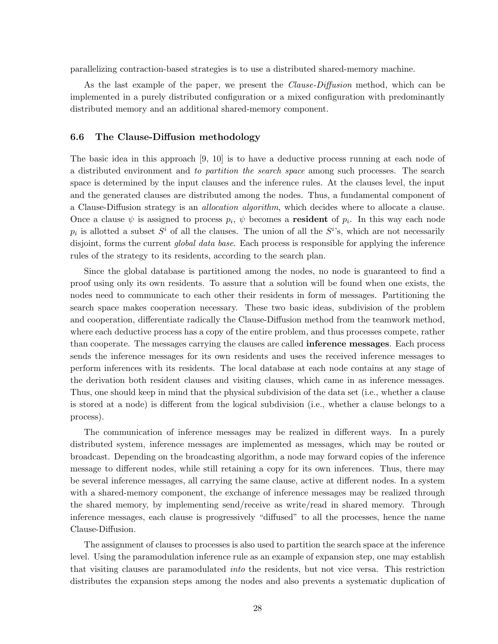parallelizing contraction-based strategies is to use a distributed shared-memory machine.

As the last example of the paper, we present the *Clause-Diffusion* method, which can be implemented in a purely distributed configuration or a mixed configuration with predominantly distributed memory and an additional shared-memory component.

#### 6.6 The Clause-Diffusion methodology

The basic idea in this approach [9, 10] is to have a deductive process running at each node of a distributed environment and to partition the search space among such processes. The search space is determined by the input clauses and the inference rules. At the clauses level, the input and the generated clauses are distributed among the nodes. Thus, a fundamental component of a Clause-Diffusion strategy is an allocation algorithm, which decides where to allocate a clause. Once a clause  $\psi$  is assigned to process  $p_i, \psi$  becomes a **resident** of  $p_i$ . In this way each node  $p_i$  is allotted a subset  $S^i$  of all the clauses. The union of all the  $S^i$ 's, which are not necessarily disjoint, forms the current *global data base*. Each process is responsible for applying the inference rules of the strategy to its residents, according to the search plan.

Since the global database is partitioned among the nodes, no node is guaranteed to find a proof using only its own residents. To assure that a solution will be found when one exists, the nodes need to communicate to each other their residents in form of messages. Partitioning the search space makes cooperation necessary. These two basic ideas, subdivision of the problem and cooperation, differentiate radically the Clause-Diffusion method from the teamwork method, where each deductive process has a copy of the entire problem, and thus processes compete, rather than cooperate. The messages carrying the clauses are called inference messages. Each process sends the inference messages for its own residents and uses the received inference messages to perform inferences with its residents. The local database at each node contains at any stage of the derivation both resident clauses and visiting clauses, which came in as inference messages. Thus, one should keep in mind that the physical subdivision of the data set (i.e., whether a clause is stored at a node) is different from the logical subdivision (i.e., whether a clause belongs to a process).

The communication of inference messages may be realized in different ways. In a purely distributed system, inference messages are implemented as messages, which may be routed or broadcast. Depending on the broadcasting algorithm, a node may forward copies of the inference message to different nodes, while still retaining a copy for its own inferences. Thus, there may be several inference messages, all carrying the same clause, active at different nodes. In a system with a shared-memory component, the exchange of inference messages may be realized through the shared memory, by implementing send/receive as write/read in shared memory. Through inference messages, each clause is progressively "diffused" to all the processes, hence the name Clause-Diffusion.

The assignment of clauses to processes is also used to partition the search space at the inference level. Using the paramodulation inference rule as an example of expansion step, one may establish that visiting clauses are paramodulated into the residents, but not vice versa. This restriction distributes the expansion steps among the nodes and also prevents a systematic duplication of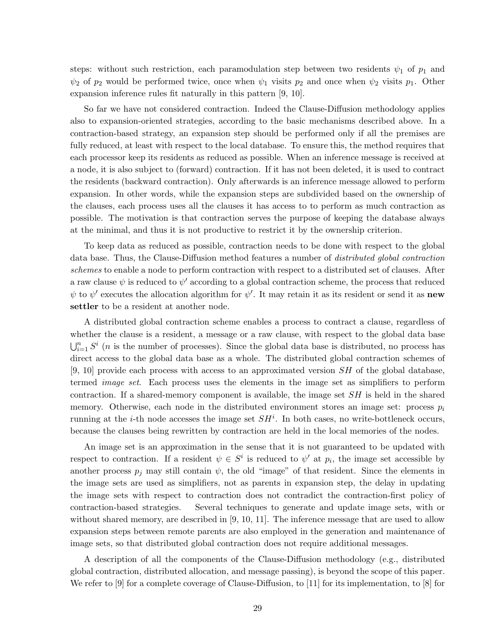steps: without such restriction, each paramodulation step between two residents  $\psi_1$  of  $p_1$  and  $\psi_2$  of  $p_2$  would be performed twice, once when  $\psi_1$  visits  $p_2$  and once when  $\psi_2$  visits  $p_1$ . Other expansion inference rules fit naturally in this pattern [9, 10].

So far we have not considered contraction. Indeed the Clause-Diffusion methodology applies also to expansion-oriented strategies, according to the basic mechanisms described above. In a contraction-based strategy, an expansion step should be performed only if all the premises are fully reduced, at least with respect to the local database. To ensure this, the method requires that each processor keep its residents as reduced as possible. When an inference message is received at a node, it is also subject to (forward) contraction. If it has not been deleted, it is used to contract the residents (backward contraction). Only afterwards is an inference message allowed to perform expansion. In other words, while the expansion steps are subdivided based on the ownership of the clauses, each process uses all the clauses it has access to to perform as much contraction as possible. The motivation is that contraction serves the purpose of keeping the database always at the minimal, and thus it is not productive to restrict it by the ownership criterion.

To keep data as reduced as possible, contraction needs to be done with respect to the global data base. Thus, the Clause-Diffusion method features a number of distributed global contraction schemes to enable a node to perform contraction with respect to a distributed set of clauses. After a raw clause  $\psi$  is reduced to  $\psi'$  according to a global contraction scheme, the process that reduced  $\psi$  to  $\psi'$  executes the allocation algorithm for  $\psi'$ . It may retain it as its resident or send it as **new** settler to be a resident at another node.

A distributed global contraction scheme enables a process to contract a clause, regardless of whether the clause is a resident, a message or a raw clause, with respect to the global data base  $\bigcup_{i=1}^n S^i$  (*n* is the number of processes). Since the global data base is distributed, no process has direct access to the global data base as a whole. The distributed global contraction schemes of  $[9, 10]$  provide each process with access to an approximated version SH of the global database, termed image set. Each process uses the elements in the image set as simplifiers to perform contraction. If a shared-memory component is available, the image set SH is held in the shared memory. Otherwise, each node in the distributed environment stores an image set: process  $p_i$ running at the *i*-th node accesses the image set  $SH<sup>i</sup>$ . In both cases, no write-bottleneck occurs, because the clauses being rewritten by contraction are held in the local memories of the nodes.

An image set is an approximation in the sense that it is not guaranteed to be updated with respect to contraction. If a resident  $\psi \in S^i$  is reduced to  $\psi'$  at  $p_i$ , the image set accessible by another process  $p_i$  may still contain  $\psi$ , the old "image" of that resident. Since the elements in the image sets are used as simplifiers, not as parents in expansion step, the delay in updating the image sets with respect to contraction does not contradict the contraction-first policy of contraction-based strategies. Several techniques to generate and update image sets, with or without shared memory, are described in [9, 10, 11]. The inference message that are used to allow expansion steps between remote parents are also employed in the generation and maintenance of image sets, so that distributed global contraction does not require additional messages.

A description of all the components of the Clause-Diffusion methodology (e.g., distributed global contraction, distributed allocation, and message passing), is beyond the scope of this paper. We refer to [9] for a complete coverage of Clause-Diffusion, to [11] for its implementation, to [8] for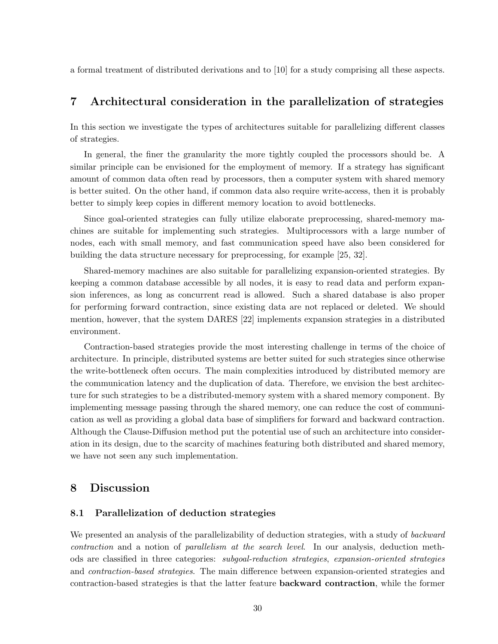a formal treatment of distributed derivations and to [10] for a study comprising all these aspects.

## 7 Architectural consideration in the parallelization of strategies

In this section we investigate the types of architectures suitable for parallelizing different classes of strategies.

In general, the finer the granularity the more tightly coupled the processors should be. A similar principle can be envisioned for the employment of memory. If a strategy has significant amount of common data often read by processors, then a computer system with shared memory is better suited. On the other hand, if common data also require write-access, then it is probably better to simply keep copies in different memory location to avoid bottlenecks.

Since goal-oriented strategies can fully utilize elaborate preprocessing, shared-memory machines are suitable for implementing such strategies. Multiprocessors with a large number of nodes, each with small memory, and fast communication speed have also been considered for building the data structure necessary for preprocessing, for example [25, 32].

Shared-memory machines are also suitable for parallelizing expansion-oriented strategies. By keeping a common database accessible by all nodes, it is easy to read data and perform expansion inferences, as long as concurrent read is allowed. Such a shared database is also proper for performing forward contraction, since existing data are not replaced or deleted. We should mention, however, that the system DARES [22] implements expansion strategies in a distributed environment.

Contraction-based strategies provide the most interesting challenge in terms of the choice of architecture. In principle, distributed systems are better suited for such strategies since otherwise the write-bottleneck often occurs. The main complexities introduced by distributed memory are the communication latency and the duplication of data. Therefore, we envision the best architecture for such strategies to be a distributed-memory system with a shared memory component. By implementing message passing through the shared memory, one can reduce the cost of communication as well as providing a global data base of simplifiers for forward and backward contraction. Although the Clause-Diffusion method put the potential use of such an architecture into consideration in its design, due to the scarcity of machines featuring both distributed and shared memory, we have not seen any such implementation.

## 8 Discussion

### 8.1 Parallelization of deduction strategies

We presented an analysis of the parallelizability of deduction strategies, with a study of backward contraction and a notion of parallelism at the search level. In our analysis, deduction methods are classified in three categories: subgoal-reduction strategies, expansion-oriented strategies and contraction-based strategies. The main difference between expansion-oriented strategies and contraction-based strategies is that the latter feature backward contraction, while the former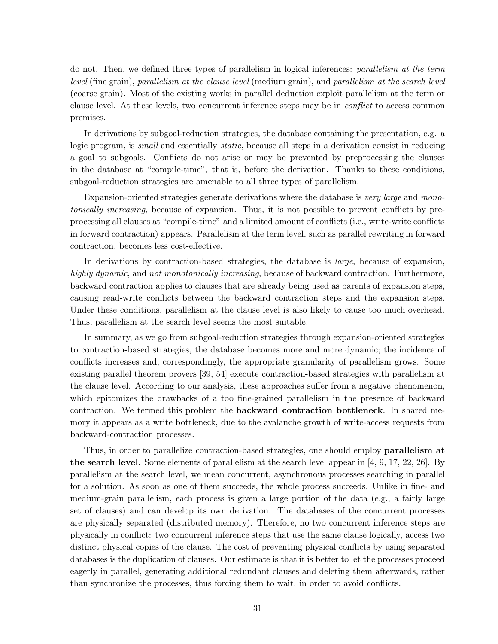do not. Then, we defined three types of parallelism in logical inferences: parallelism at the term level (fine grain), parallelism at the clause level (medium grain), and parallelism at the search level (coarse grain). Most of the existing works in parallel deduction exploit parallelism at the term or clause level. At these levels, two concurrent inference steps may be in conflict to access common premises.

In derivations by subgoal-reduction strategies, the database containing the presentation, e.g. a logic program, is small and essentially static, because all steps in a derivation consist in reducing a goal to subgoals. Conflicts do not arise or may be prevented by preprocessing the clauses in the database at "compile-time", that is, before the derivation. Thanks to these conditions, subgoal-reduction strategies are amenable to all three types of parallelism.

Expansion-oriented strategies generate derivations where the database is very large and monotonically increasing, because of expansion. Thus, it is not possible to prevent conflicts by preprocessing all clauses at "compile-time" and a limited amount of conflicts (i.e., write-write conflicts in forward contraction) appears. Parallelism at the term level, such as parallel rewriting in forward contraction, becomes less cost-effective.

In derivations by contraction-based strategies, the database is *large*, because of expansion, highly dynamic, and not monotonically increasing, because of backward contraction. Furthermore, backward contraction applies to clauses that are already being used as parents of expansion steps, causing read-write conflicts between the backward contraction steps and the expansion steps. Under these conditions, parallelism at the clause level is also likely to cause too much overhead. Thus, parallelism at the search level seems the most suitable.

In summary, as we go from subgoal-reduction strategies through expansion-oriented strategies to contraction-based strategies, the database becomes more and more dynamic; the incidence of conflicts increases and, correspondingly, the appropriate granularity of parallelism grows. Some existing parallel theorem provers [39, 54] execute contraction-based strategies with parallelism at the clause level. According to our analysis, these approaches suffer from a negative phenomenon, which epitomizes the drawbacks of a too fine-grained parallelism in the presence of backward contraction. We termed this problem the backward contraction bottleneck. In shared memory it appears as a write bottleneck, due to the avalanche growth of write-access requests from backward-contraction processes.

Thus, in order to parallelize contraction-based strategies, one should employ **parallelism at** the search level. Some elements of parallelism at the search level appear in [4, 9, 17, 22, 26]. By parallelism at the search level, we mean concurrent, asynchronous processes searching in parallel for a solution. As soon as one of them succeeds, the whole process succeeds. Unlike in fine- and medium-grain parallelism, each process is given a large portion of the data (e.g., a fairly large set of clauses) and can develop its own derivation. The databases of the concurrent processes are physically separated (distributed memory). Therefore, no two concurrent inference steps are physically in conflict: two concurrent inference steps that use the same clause logically, access two distinct physical copies of the clause. The cost of preventing physical conflicts by using separated databases is the duplication of clauses. Our estimate is that it is better to let the processes proceed eagerly in parallel, generating additional redundant clauses and deleting them afterwards, rather than synchronize the processes, thus forcing them to wait, in order to avoid conflicts.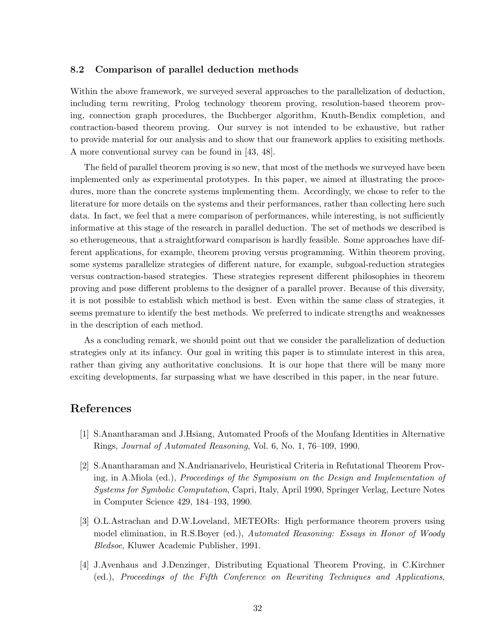## 8.2 Comparison of parallel deduction methods

Within the above framework, we surveyed several approaches to the parallelization of deduction, including term rewriting, Prolog technology theorem proving, resolution-based theorem proving, connection graph procedures, the Buchberger algorithm, Knuth-Bendix completion, and contraction-based theorem proving. Our survey is not intended to be exhaustive, but rather to provide material for our analysis and to show that our framework applies to exisiting methods. A more conventional survey can be found in [43, 48].

The field of parallel theorem proving is so new, that most of the methods we surveyed have been implemented only as experimental prototypes. In this paper, we aimed at illustrating the procedures, more than the concrete systems implementing them. Accordingly, we chose to refer to the literature for more details on the systems and their performances, rather than collecting here such data. In fact, we feel that a mere comparison of performances, while interesting, is not sufficiently informative at this stage of the research in parallel deduction. The set of methods we described is so etherogeneous, that a straightforward comparison is hardly feasible. Some approaches have different applications, for example, theorem proving versus programming. Within theorem proving, some systems parallelize strategies of different nature, for example, subgoal-reduction strategies versus contraction-based strategies. These strategies represent different philosophies in theorem proving and pose different problems to the designer of a parallel prover. Because of this diversity, it is not possible to establish which method is best. Even within the same class of strategies, it seems premature to identify the best methods. We preferred to indicate strengths and weaknesses in the description of each method.

As a concluding remark, we should point out that we consider the parallelization of deduction strategies only at its infancy. Our goal in writing this paper is to stimulate interest in this area, rather than giving any authoritative conclusions. It is our hope that there will be many more exciting developments, far surpassing what we have described in this paper, in the near future.

## References

- [1] S.Anantharaman and J.Hsiang, Automated Proofs of the Moufang Identities in Alternative Rings, Journal of Automated Reasoning, Vol. 6, No. 1, 76–109, 1990.
- [2] S.Anantharaman and N.Andrianarivelo, Heuristical Criteria in Refutational Theorem Proving, in A.Miola (ed.), Proceedings of the Symposium on the Design and Implementation of Systems for Symbolic Computation, Capri, Italy, April 1990, Springer Verlag, Lecture Notes in Computer Science 429, 184–193, 1990.
- [3] O.L.Astrachan and D.W.Loveland, METEORs: High performance theorem provers using model elimination, in R.S.Boyer (ed.), Automated Reasoning: Essays in Honor of Woody Bledsoe, Kluwer Academic Publisher, 1991.
- [4] J.Avenhaus and J.Denzinger, Distributing Equational Theorem Proving, in C.Kirchner (ed.), Proceedings of the Fifth Conference on Rewriting Techniques and Applications,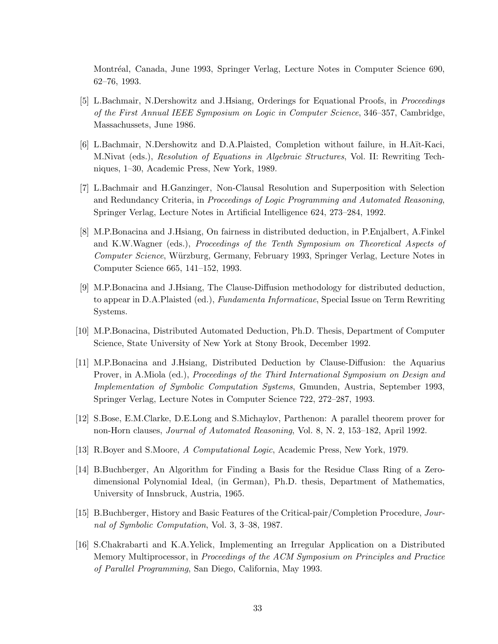Montréal, Canada, June 1993, Springer Verlag, Lecture Notes in Computer Science 690, 62–76, 1993.

- [5] L.Bachmair, N.Dershowitz and J.Hsiang, Orderings for Equational Proofs, in Proceedings of the First Annual IEEE Symposium on Logic in Computer Science, 346–357, Cambridge, Massachussets, June 1986.
- [6] L.Bachmair, N.Dershowitz and D.A.Plaisted, Completion without failure, in H.A¨ıt-Kaci, M.Nivat (eds.), Resolution of Equations in Algebraic Structures, Vol. II: Rewriting Techniques, 1–30, Academic Press, New York, 1989.
- [7] L.Bachmair and H.Ganzinger, Non-Clausal Resolution and Superposition with Selection and Redundancy Criteria, in Proceedings of Logic Programming and Automated Reasoning, Springer Verlag, Lecture Notes in Artificial Intelligence 624, 273–284, 1992.
- [8] M.P.Bonacina and J.Hsiang, On fairness in distributed deduction, in P.Enjalbert, A.Finkel and K.W.Wagner (eds.), Proceedings of the Tenth Symposium on Theoretical Aspects of Computer Science, Würzburg, Germany, February 1993, Springer Verlag, Lecture Notes in Computer Science 665, 141–152, 1993.
- [9] M.P.Bonacina and J.Hsiang, The Clause-Diffusion methodology for distributed deduction, to appear in D.A.Plaisted (ed.), Fundamenta Informaticae, Special Issue on Term Rewriting Systems.
- [10] M.P.Bonacina, Distributed Automated Deduction, Ph.D. Thesis, Department of Computer Science, State University of New York at Stony Brook, December 1992.
- [11] M.P.Bonacina and J.Hsiang, Distributed Deduction by Clause-Diffusion: the Aquarius Prover, in A.Miola (ed.), Proceedings of the Third International Symposium on Design and Implementation of Symbolic Computation Systems, Gmunden, Austria, September 1993, Springer Verlag, Lecture Notes in Computer Science 722, 272–287, 1993.
- [12] S.Bose, E.M.Clarke, D.E.Long and S.Michaylov, Parthenon: A parallel theorem prover for non-Horn clauses, Journal of Automated Reasoning, Vol. 8, N. 2, 153–182, April 1992.
- [13] R.Boyer and S.Moore, A Computational Logic, Academic Press, New York, 1979.
- [14] B.Buchberger, An Algorithm for Finding a Basis for the Residue Class Ring of a Zerodimensional Polynomial Ideal, (in German), Ph.D. thesis, Department of Mathematics, University of Innsbruck, Austria, 1965.
- [15] B.Buchberger, History and Basic Features of the Critical-pair/Completion Procedure, Journal of Symbolic Computation, Vol. 3, 3–38, 1987.
- [16] S.Chakrabarti and K.A.Yelick, Implementing an Irregular Application on a Distributed Memory Multiprocessor, in Proceedings of the ACM Symposium on Principles and Practice of Parallel Programming, San Diego, California, May 1993.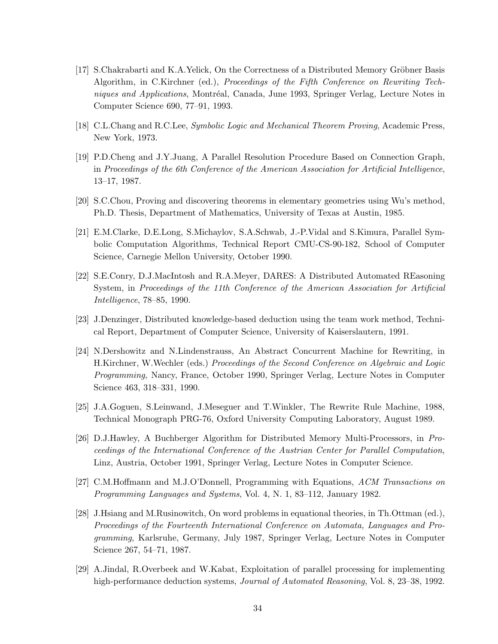- [17] S.Chakrabarti and K.A.Yelick, On the Correctness of a Distributed Memory Gröbner Basis Algorithm, in C.Kirchner (ed.), Proceedings of the Fifth Conference on Rewriting Techniques and Applications, Montréal, Canada, June 1993, Springer Verlag, Lecture Notes in Computer Science 690, 77–91, 1993.
- [18] C.L.Chang and R.C.Lee, Symbolic Logic and Mechanical Theorem Proving, Academic Press, New York, 1973.
- [19] P.D.Cheng and J.Y.Juang, A Parallel Resolution Procedure Based on Connection Graph, in Proceedings of the 6th Conference of the American Association for Artificial Intelligence, 13–17, 1987.
- [20] S.C.Chou, Proving and discovering theorems in elementary geometries using Wu's method, Ph.D. Thesis, Department of Mathematics, University of Texas at Austin, 1985.
- [21] E.M.Clarke, D.E.Long, S.Michaylov, S.A.Schwab, J.-P.Vidal and S.Kimura, Parallel Symbolic Computation Algorithms, Technical Report CMU-CS-90-182, School of Computer Science, Carnegie Mellon University, October 1990.
- [22] S.E.Conry, D.J.MacIntosh and R.A.Meyer, DARES: A Distributed Automated REasoning System, in Proceedings of the 11th Conference of the American Association for Artificial Intelligence, 78–85, 1990.
- [23] J.Denzinger, Distributed knowledge-based deduction using the team work method, Technical Report, Department of Computer Science, University of Kaiserslautern, 1991.
- [24] N.Dershowitz and N.Lindenstrauss, An Abstract Concurrent Machine for Rewriting, in H.Kirchner, W.Wechler (eds.) Proceedings of the Second Conference on Algebraic and Logic Programming, Nancy, France, October 1990, Springer Verlag, Lecture Notes in Computer Science 463, 318–331, 1990.
- [25] J.A.Goguen, S.Leinwand, J.Meseguer and T.Winkler, The Rewrite Rule Machine, 1988, Technical Monograph PRG-76, Oxford University Computing Laboratory, August 1989.
- [26] D.J.Hawley, A Buchberger Algorithm for Distributed Memory Multi-Processors, in Proceedings of the International Conference of the Austrian Center for Parallel Computation, Linz, Austria, October 1991, Springer Verlag, Lecture Notes in Computer Science.
- [27] C.M.Hoffmann and M.J.O'Donnell, Programming with Equations, ACM Transactions on Programming Languages and Systems, Vol. 4, N. 1, 83–112, January 1982.
- [28] J.Hsiang and M.Rusinowitch, On word problems in equational theories, in Th.Ottman (ed.), Proceedings of the Fourteenth International Conference on Automata, Languages and Programming, Karlsruhe, Germany, July 1987, Springer Verlag, Lecture Notes in Computer Science 267, 54–71, 1987.
- [29] A.Jindal, R.Overbeek and W.Kabat, Exploitation of parallel processing for implementing high-performance deduction systems, *Journal of Automated Reasoning*, Vol. 8, 23–38, 1992.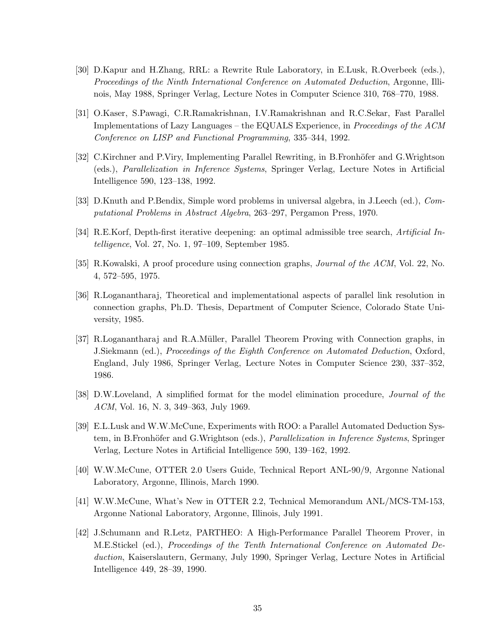- [30] D.Kapur and H.Zhang, RRL: a Rewrite Rule Laboratory, in E.Lusk, R.Overbeek (eds.), Proceedings of the Ninth International Conference on Automated Deduction, Argonne, Illinois, May 1988, Springer Verlag, Lecture Notes in Computer Science 310, 768–770, 1988.
- [31] O.Kaser, S.Pawagi, C.R.Ramakrishnan, I.V.Ramakrishnan and R.C.Sekar, Fast Parallel Implementations of Lazy Languages – the EQUALS Experience, in Proceedings of the ACM Conference on LISP and Functional Programming, 335–344, 1992.
- [32] C.Kirchner and P.Viry, Implementing Parallel Rewriting, in B.Fronhöfer and G.Wrightson (eds.), Parallelization in Inference Systems, Springer Verlag, Lecture Notes in Artificial Intelligence 590, 123–138, 1992.
- [33] D.Knuth and P.Bendix, Simple word problems in universal algebra, in J.Leech (ed.), Computational Problems in Abstract Algebra, 263–297, Pergamon Press, 1970.
- [34] R.E.Korf, Depth-first iterative deepening: an optimal admissible tree search, Artificial Intelligence, Vol. 27, No. 1, 97–109, September 1985.
- [35] R.Kowalski, A proof procedure using connection graphs, Journal of the ACM, Vol. 22, No. 4, 572–595, 1975.
- [36] R.Loganantharaj, Theoretical and implementational aspects of parallel link resolution in connection graphs, Ph.D. Thesis, Department of Computer Science, Colorado State University, 1985.
- [37] R.Loganantharaj and R.A.Müller, Parallel Theorem Proving with Connection graphs, in J.Siekmann (ed.), Proceedings of the Eighth Conference on Automated Deduction, Oxford, England, July 1986, Springer Verlag, Lecture Notes in Computer Science 230, 337–352, 1986.
- [38] D.W.Loveland, A simplified format for the model elimination procedure, Journal of the ACM, Vol. 16, N. 3, 349–363, July 1969.
- [39] E.L.Lusk and W.W.McCune, Experiments with ROO: a Parallel Automated Deduction System, in B.Fronhöfer and G.Wrightson (eds.), *Parallelization in Inference Systems*, Springer Verlag, Lecture Notes in Artificial Intelligence 590, 139–162, 1992.
- [40] W.W.McCune, OTTER 2.0 Users Guide, Technical Report ANL-90/9, Argonne National Laboratory, Argonne, Illinois, March 1990.
- [41] W.W.McCune, What's New in OTTER 2.2, Technical Memorandum ANL/MCS-TM-153, Argonne National Laboratory, Argonne, Illinois, July 1991.
- [42] J.Schumann and R.Letz, PARTHEO: A High-Performance Parallel Theorem Prover, in M.E.Stickel (ed.), Proceedings of the Tenth International Conference on Automated Deduction, Kaiserslautern, Germany, July 1990, Springer Verlag, Lecture Notes in Artificial Intelligence 449, 28–39, 1990.